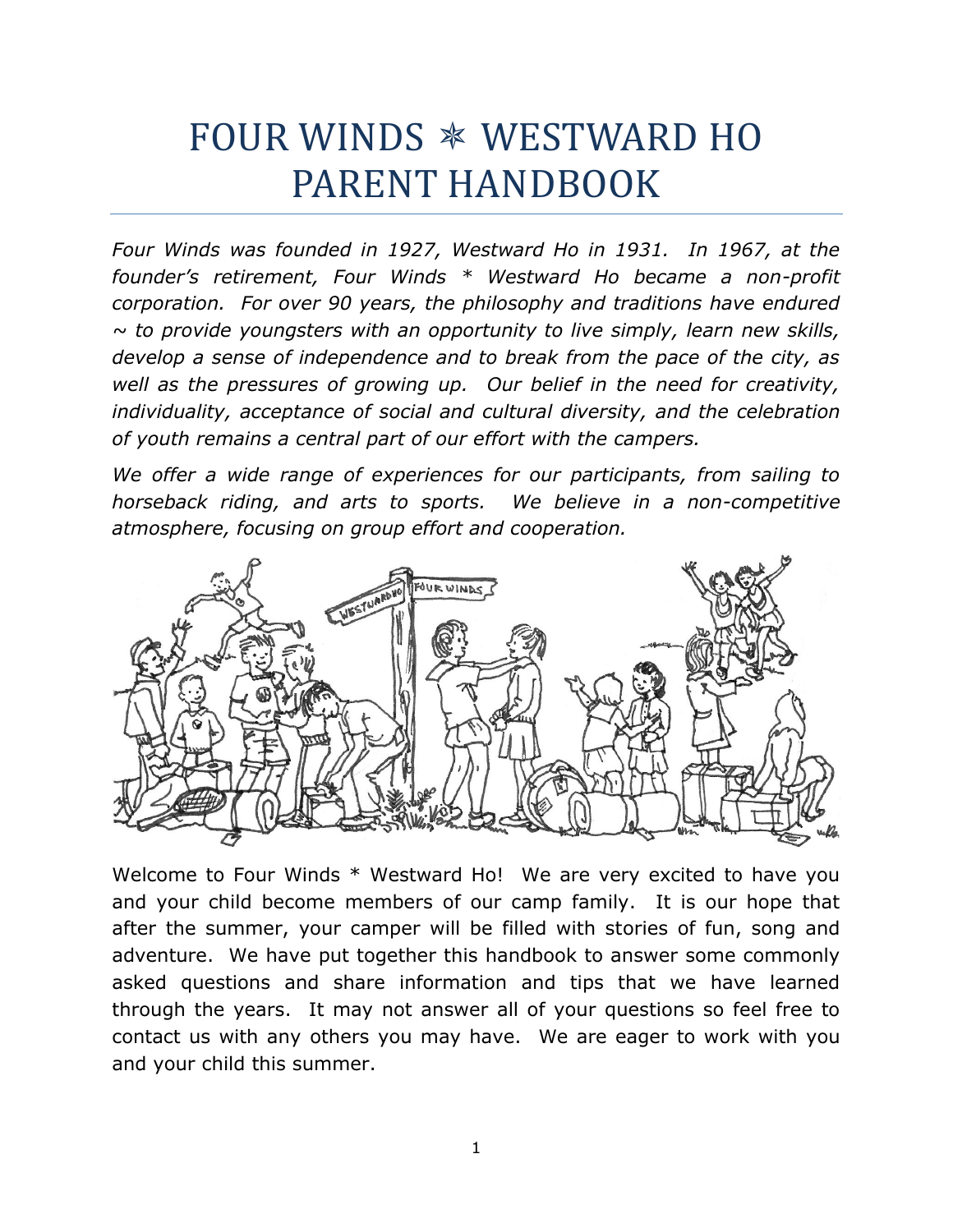# FOUR WINDS WESTWARD HO PARENT HANDBOOK

*Four Winds was founded in 1927, Westward Ho in 1931. In 1967, at the founder's retirement, Four Winds \* Westward Ho became a non-profit corporation. For over 90 years, the philosophy and traditions have endured ~ to provide youngsters with an opportunity to live simply, learn new skills, develop a sense of independence and to break from the pace of the city, as well as the pressures of growing up. Our belief in the need for creativity, individuality, acceptance of social and cultural diversity, and the celebration of youth remains a central part of our effort with the campers.*

*We offer a wide range of experiences for our participants, from sailing to horseback riding, and arts to sports. We believe in a non-competitive atmosphere, focusing on group effort and cooperation.*



Welcome to Four Winds \* Westward Ho! We are very excited to have you and your child become members of our camp family. It is our hope that after the summer, your camper will be filled with stories of fun, song and adventure. We have put together this handbook to answer some commonly asked questions and share information and tips that we have learned through the years. It may not answer all of your questions so feel free to contact us with any others you may have. We are eager to work with you and your child this summer.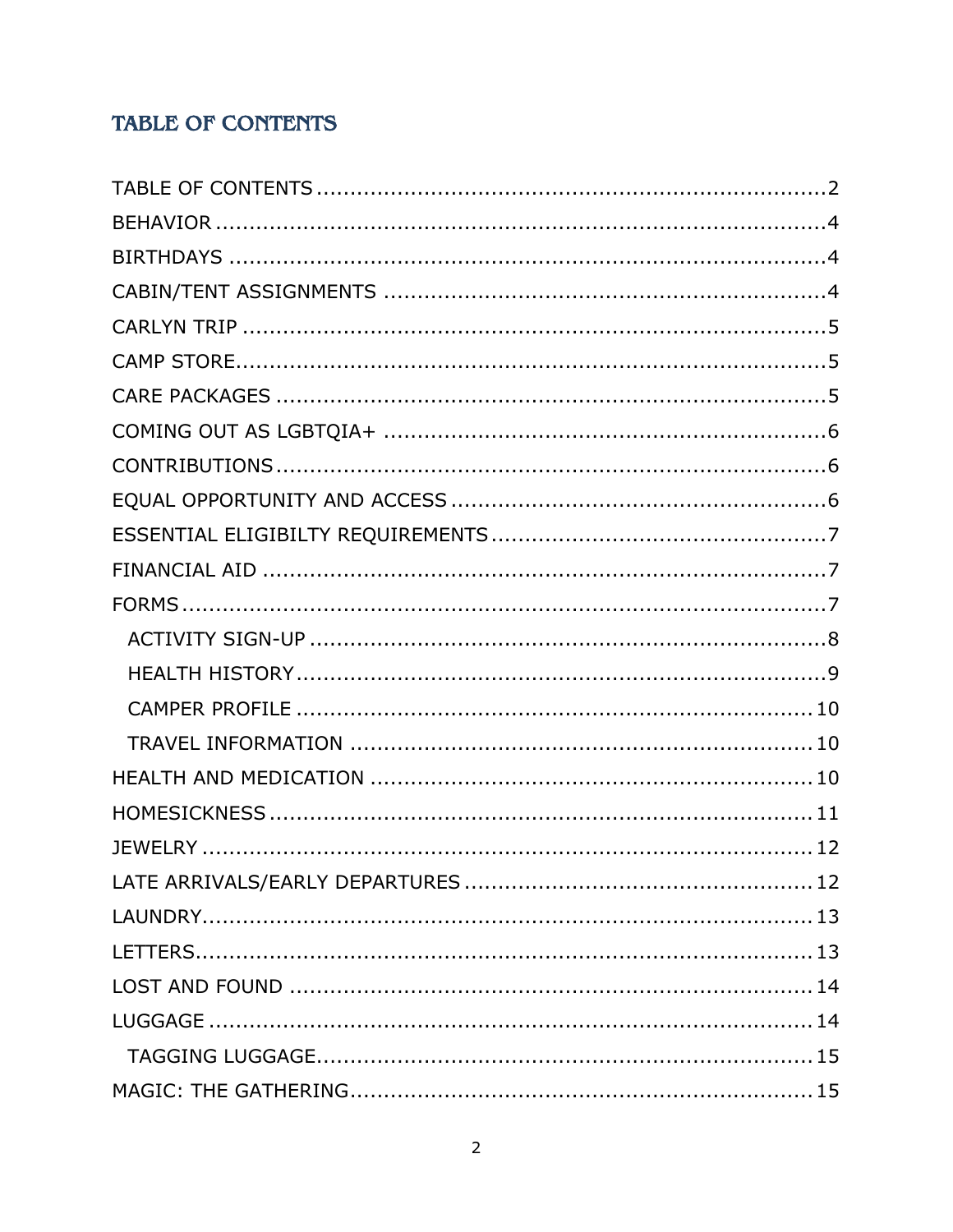# <span id="page-1-0"></span>**TABLE OF CONTENTS**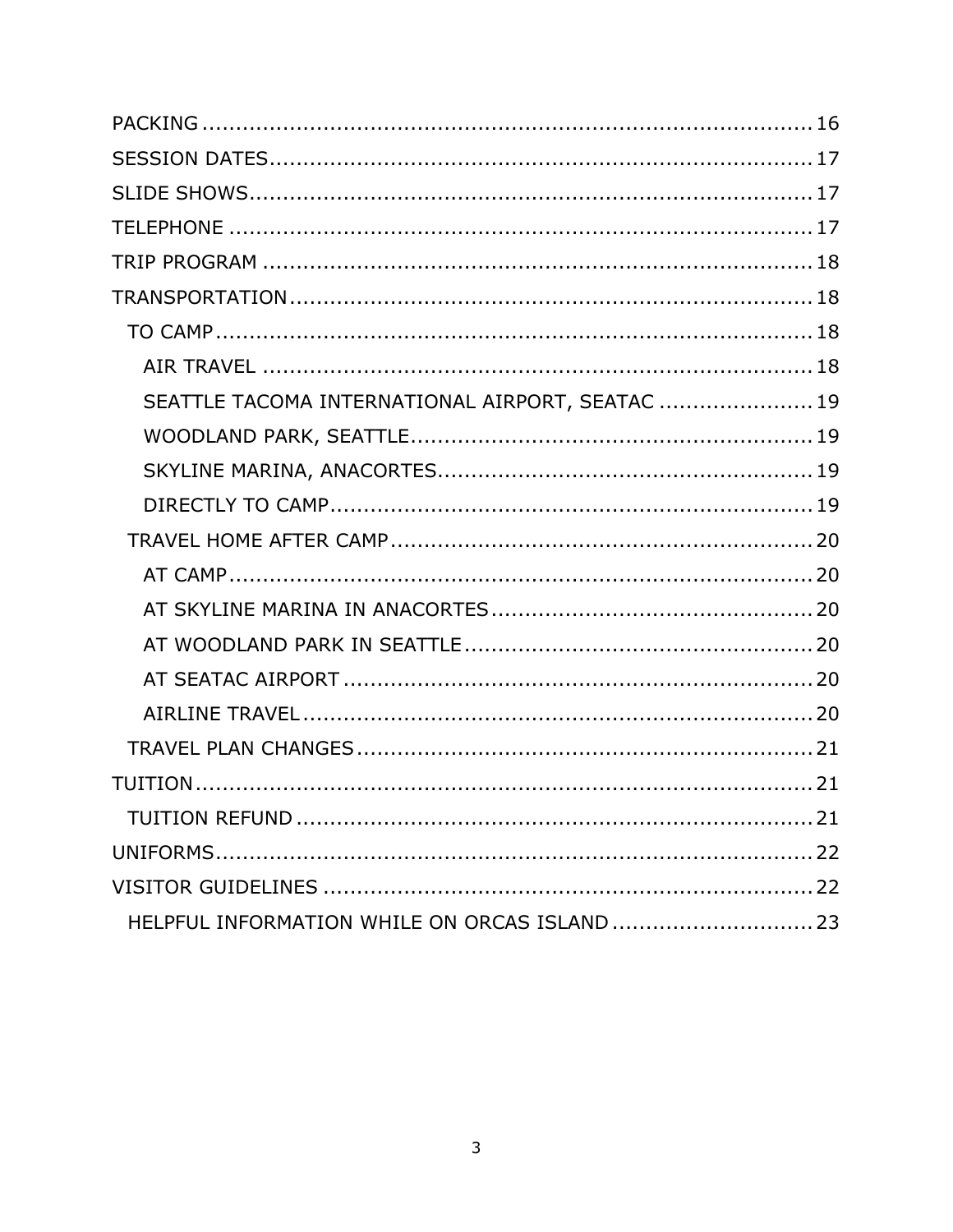| SEATTLE TACOMA INTERNATIONAL AIRPORT, SEATAC  19 |  |
|--------------------------------------------------|--|
|                                                  |  |
|                                                  |  |
|                                                  |  |
|                                                  |  |
|                                                  |  |
|                                                  |  |
|                                                  |  |
|                                                  |  |
|                                                  |  |
|                                                  |  |
|                                                  |  |
|                                                  |  |
|                                                  |  |
|                                                  |  |
| HELPFUL INFORMATION WHILE ON ORCAS ISLAND  23    |  |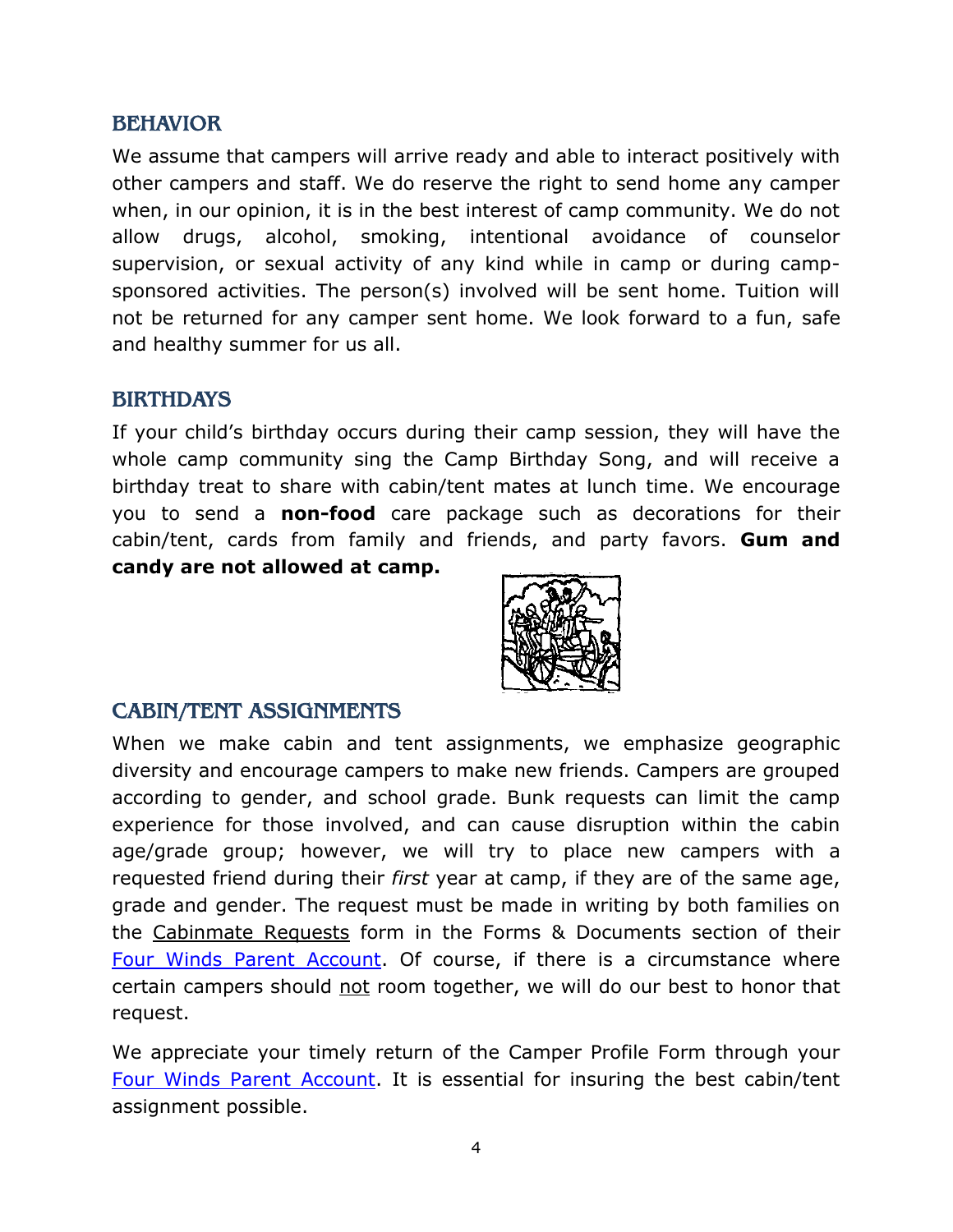#### <span id="page-3-0"></span>BEHAVIOR

We assume that campers will arrive ready and able to interact positively with other campers and staff. We do reserve the right to send home any camper when, in our opinion, it is in the best interest of camp community. We do not allow drugs, alcohol, smoking, intentional avoidance of counselor supervision, or sexual activity of any kind while in camp or during campsponsored activities. The person(s) involved will be sent home. Tuition will not be returned for any camper sent home. We look forward to a fun, safe and healthy summer for us all.

#### <span id="page-3-1"></span>BIRTHDAYS

If your child's birthday occurs during their camp session, they will have the whole camp community sing the Camp Birthday Song, and will receive a birthday treat to share with cabin/tent mates at lunch time. We encourage you to send a **non-food** care package such as decorations for their cabin/tent, cards from family and friends, and party favors. **Gum and candy are not allowed at camp.**



## <span id="page-3-2"></span>CABIN/TENT ASSIGNMENTS

When we make cabin and tent assignments, we emphasize geographic diversity and encourage campers to make new friends. Campers are grouped according to gender, and school grade. Bunk requests can limit the camp experience for those involved, and can cause disruption within the cabin age/grade group; however, we will try to place new campers with a requested friend during their *first* year at camp, if they are of the same age, grade and gender. The request must be made in writing by both families on the Cabinmate Requests form in the Forms & Documents section of their [Four Winds Parent Account.](file:///C:/Four%20Winds%20Data/Publications/Handbooks/2018/fourwindscamp.org/login) Of course, if there is a circumstance where certain campers should not room together, we will do our best to honor that request.

We appreciate your timely return of the Camper Profile Form through your [Four Winds Parent Account.](http://fourwindscamp.org/login) It is essential for insuring the best cabin/tent assignment possible.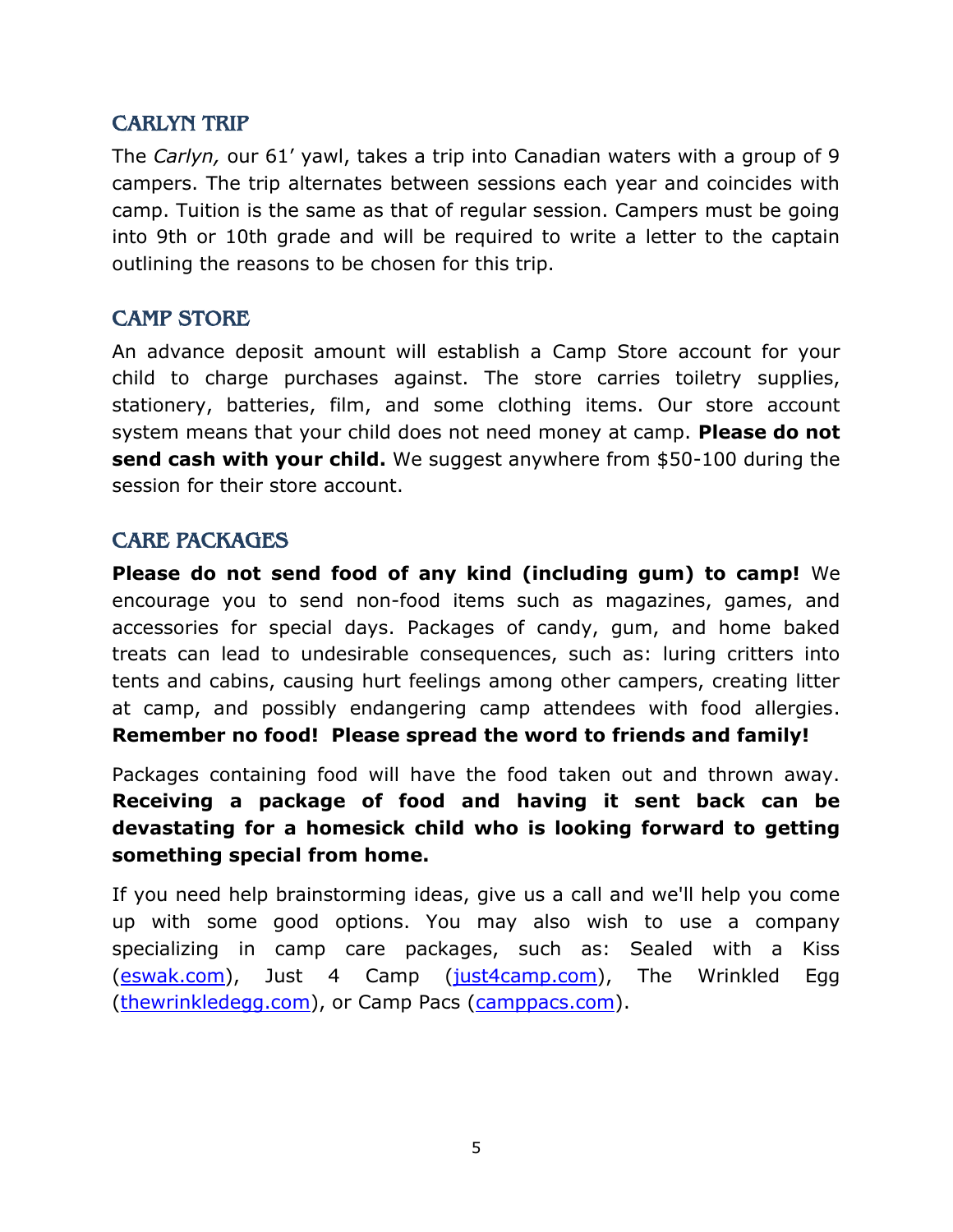#### <span id="page-4-0"></span>CARLYN TRIP

The *Carlyn,* our 61' yawl, takes a trip into Canadian waters with a group of 9 campers. The trip alternates between sessions each year and coincides with camp. Tuition is the same as that of regular session. Campers must be going into 9th or 10th grade and will be required to write a letter to the captain outlining the reasons to be chosen for this trip.

#### <span id="page-4-1"></span>CAMP STORE

An advance deposit amount will establish a Camp Store account for your child to charge purchases against. The store carries toiletry supplies, stationery, batteries, film, and some clothing items. Our store account system means that your child does not need money at camp. **Please do not send cash with your child.** We suggest anywhere from \$50-100 during the session for their store account.

#### <span id="page-4-2"></span>CARE PACKAGES

**Please do not send food of any kind (including gum) to camp!** We encourage you to send non-food items such as magazines, games, and accessories for special days. Packages of candy, gum, and home baked treats can lead to undesirable consequences, such as: luring critters into tents and cabins, causing hurt feelings among other campers, creating litter at camp, and possibly endangering camp attendees with food allergies. **Remember no food! Please spread the word to friends and family!**

Packages containing food will have the food taken out and thrown away. **Receiving a package of food and having it sent back can be devastating for a homesick child who is looking forward to getting something special from home.**

If you need help brainstorming ideas, give us a call and we'll help you come up with some good options. You may also wish to use a company specializing in camp care packages, such as: Sealed with a Kiss [\(eswak.com\)](https://www.eswak.com/), Just 4 Camp [\(just4camp.com\)](http://www.just4camp.com/), The Wrinkled Egg [\(thewrinkledegg.com\)](https://www.thewrinkledegg.com/), or Camp Pacs [\(camppacs.com\)](http://camppacs.com/).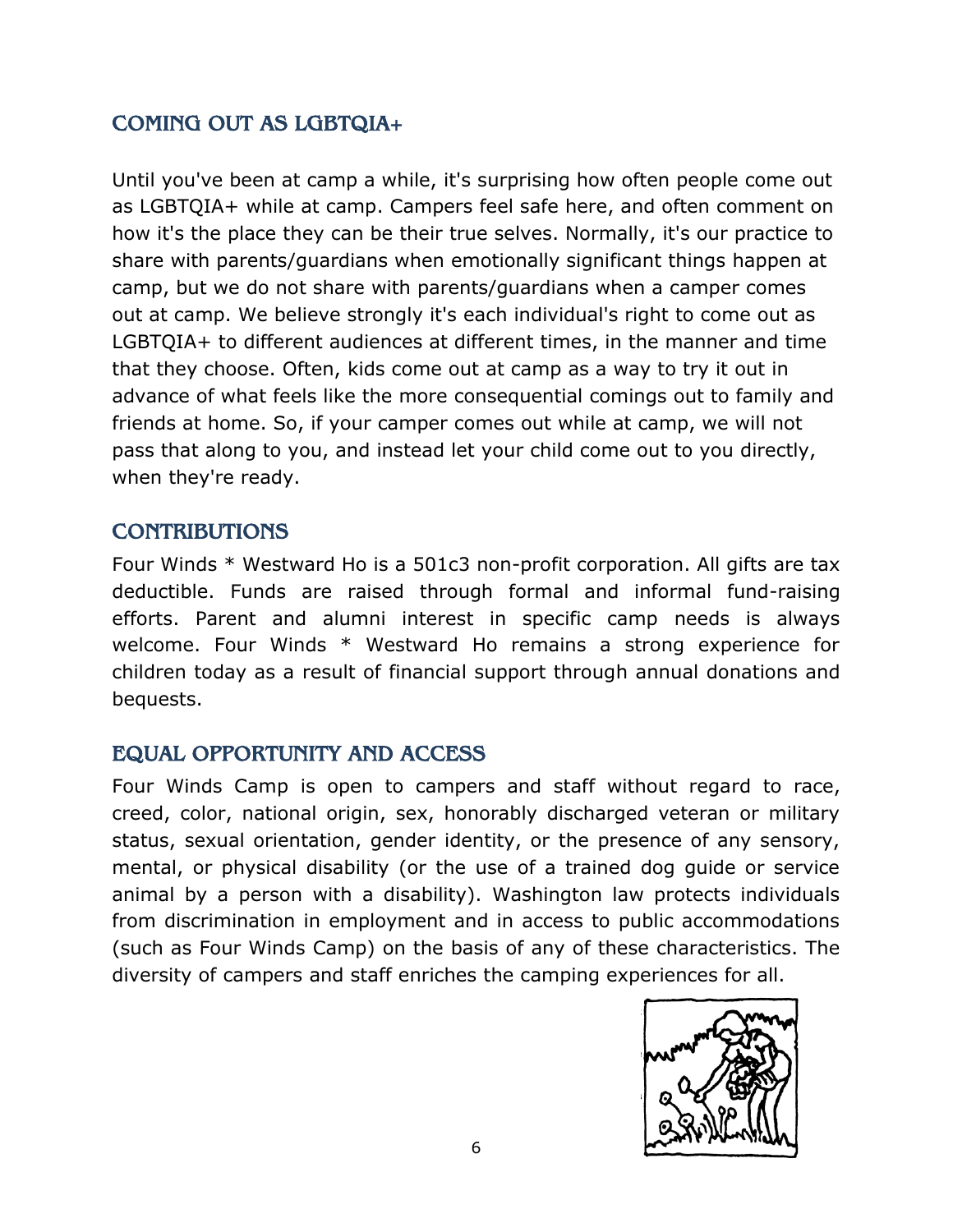# <span id="page-5-0"></span>COMING OUT AS LGBTQIA+

Until you've been at camp a while, it's surprising how often people come out as LGBTQIA+ while at camp. Campers feel safe here, and often comment on how it's the place they can be their true selves. Normally, it's our practice to share with parents/guardians when emotionally significant things happen at camp, but we do not share with parents/guardians when a camper comes out at camp. We believe strongly it's each individual's right to come out as LGBTQIA+ to different audiences at different times, in the manner and time that they choose. Often, kids come out at camp as a way to try it out in advance of what feels like the more consequential comings out to family and friends at home. So, if your camper comes out while at camp, we will not pass that along to you, and instead let your child come out to you directly, when they're ready.

## <span id="page-5-1"></span>**CONTRIBUTIONS**

Four Winds \* Westward Ho is a 501c3 non-profit corporation. All gifts are tax deductible. Funds are raised through formal and informal fund-raising efforts. Parent and alumni interest in specific camp needs is always welcome. Four Winds \* Westward Ho remains a strong experience for children today as a result of financial support through annual donations and bequests.

## <span id="page-5-2"></span>EQUAL OPPORTUNITY AND ACCESS

Four Winds Camp is open to campers and staff without regard to race, creed, color, national origin, sex, honorably discharged veteran or military status, sexual orientation, gender identity, or the presence of any sensory, mental, or physical disability (or the use of a trained dog guide or service animal by a person with a disability). Washington law protects individuals from discrimination in employment and in access to public accommodations (such as Four Winds Camp) on the basis of any of these characteristics. The diversity of campers and staff enriches the camping experiences for all.

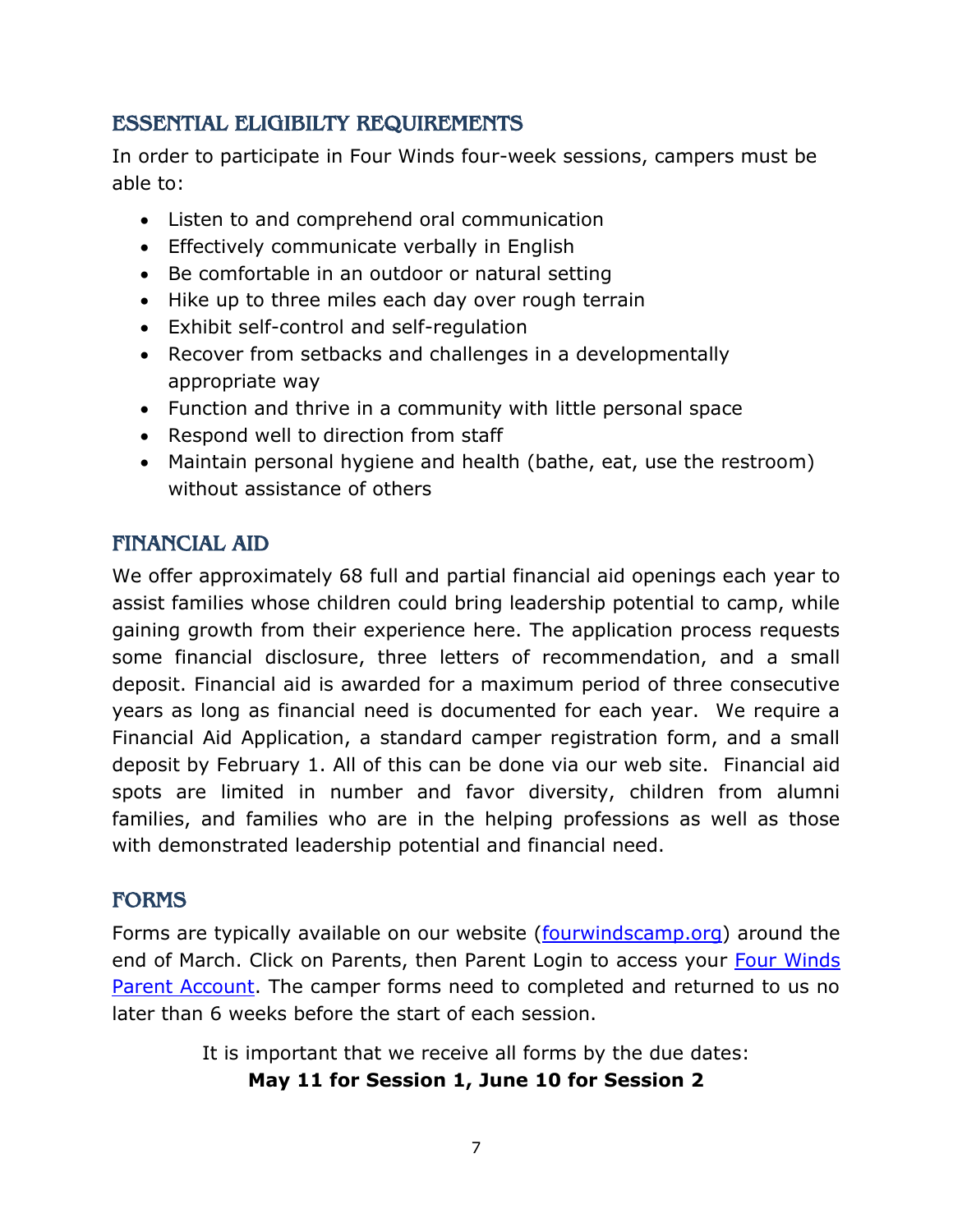## <span id="page-6-0"></span>ESSENTIAL ELIGIBILTY REQUIREMENTS

In order to participate in Four Winds four-week sessions, campers must be able to:

- Listen to and comprehend oral communication
- Effectively communicate verbally in English
- Be comfortable in an outdoor or natural setting
- Hike up to three miles each day over rough terrain
- Exhibit self-control and self-regulation
- Recover from setbacks and challenges in a developmentally appropriate way
- Function and thrive in a community with little personal space
- Respond well to direction from staff
- Maintain personal hygiene and health (bathe, eat, use the restroom) without assistance of others

## <span id="page-6-1"></span>FINANCIAL AID

We offer approximately 68 full and partial financial aid openings each year to assist families whose children could bring leadership potential to camp, while gaining growth from their experience here. The application process requests some financial disclosure, three letters of recommendation, and a small deposit. Financial aid is awarded for a maximum period of three consecutive years as long as financial need is documented for each year. We require a Financial Aid Application, a standard camper registration form, and a small deposit by February 1. All of this can be done via our web site. Financial aid spots are limited in number and favor diversity, children from alumni families, and families who are in the helping professions as well as those with demonstrated leadership potential and financial need.

## <span id="page-6-2"></span>FORMS

Forms are typically available on our website [\(fourwindscamp.org\)](file:///C:/Users/Mariah/AppData/Roaming/Microsoft/Word/fourwindscamp.org) around the end of March. Click on Parents, then Parent Login to access your [Four Winds](file:///C:/Users/Mariah/AppData/Roaming/Microsoft/Word/fourwindscamp.org/login)  [Parent Account.](file:///C:/Users/Mariah/AppData/Roaming/Microsoft/Word/fourwindscamp.org/login) The camper forms need to completed and returned to us no later than 6 weeks before the start of each session.

It is important that we receive all forms by the due dates:

**May 11 for Session 1, June 10 for Session 2**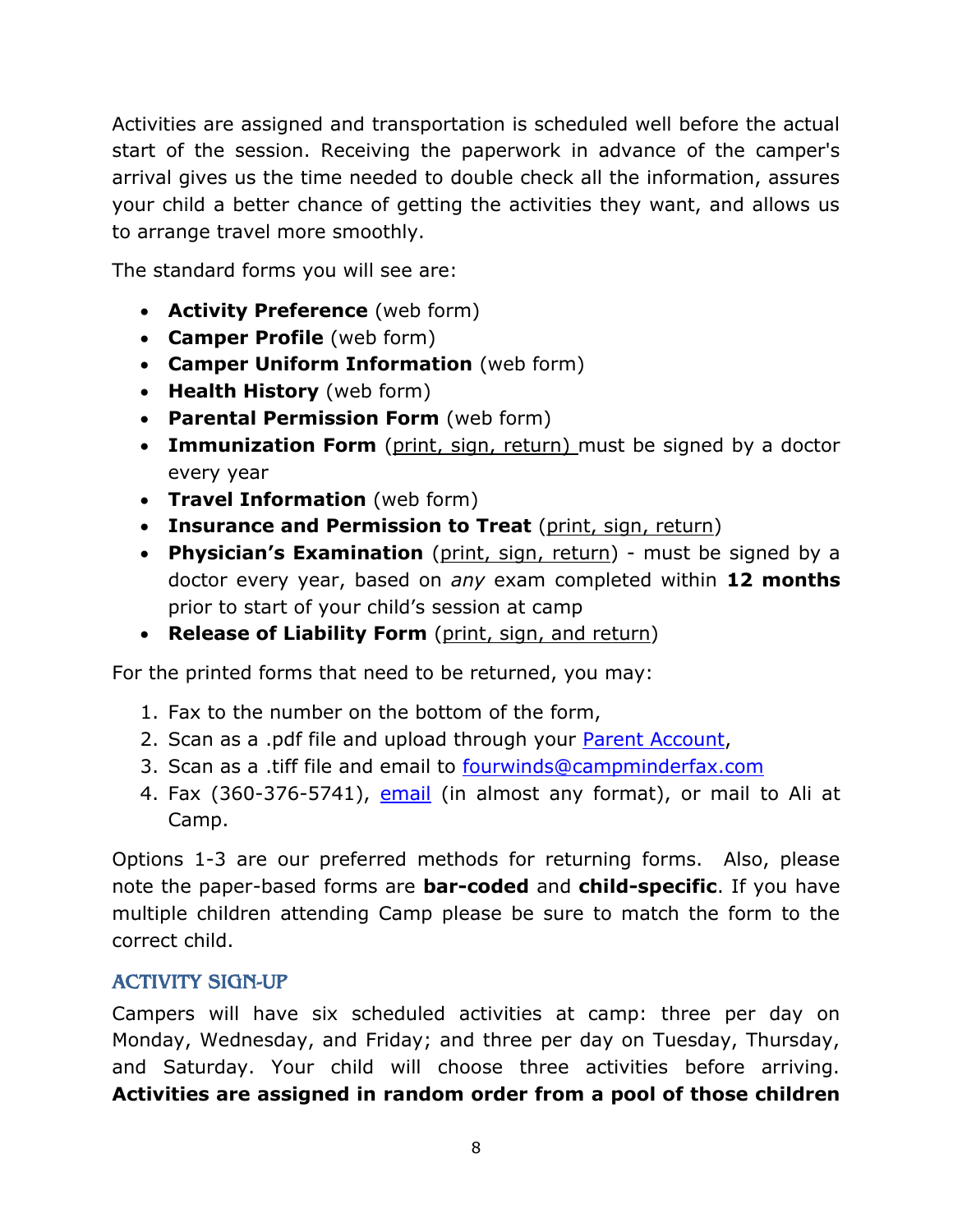Activities are assigned and transportation is scheduled well before the actual start of the session. Receiving the paperwork in advance of the camper's arrival gives us the time needed to double check all the information, assures your child a better chance of getting the activities they want, and allows us to arrange travel more smoothly.

The standard forms you will see are:

- **Activity Preference** (web form)
- **Camper Profile** (web form)
- **Camper Uniform Information** (web form)
- **Health History** (web form)
- **Parental Permission Form** (web form)
- **Immunization Form** (print, sign, return) must be signed by a doctor every year
- **Travel Information** (web form)
- **Insurance and Permission to Treat** (print, sign, return)
- **Physician's Examination** (print, sign, return) must be signed by a doctor every year, based on *any* exam completed within **12 months** prior to start of your child's session at camp
- **Release of Liability Form** (print, sign, and return)

For the printed forms that need to be returned, you may:

- 1. Fax to the number on the bottom of the form,
- 2. Scan as a .pdf file and upload through your [Parent Account,](file:///C:/Users/Mariah/AppData/Roaming/Microsoft/Word/fourwindscamp.org/login)
- 3. Scan as a .tiff file and email to [fourwinds@campminderfax.com](mailto:fourwinds@campminderfax.com)
- 4. Fax (360-376-5741), [email](mailto:ali@fourwindscamp.org?subject=Camper%20Forms) (in almost any format), or mail to Ali at Camp.

Options 1-3 are our preferred methods for returning forms. Also, please note the paper-based forms are **bar-coded** and **child-specific**. If you have multiple children attending Camp please be sure to match the form to the correct child.

## <span id="page-7-0"></span>ACTIVITY SIGN-UP

Campers will have six scheduled activities at camp: three per day on Monday, Wednesday, and Friday; and three per day on Tuesday, Thursday, and Saturday. Your child will choose three activities before arriving. **Activities are assigned in random order from a pool of those children**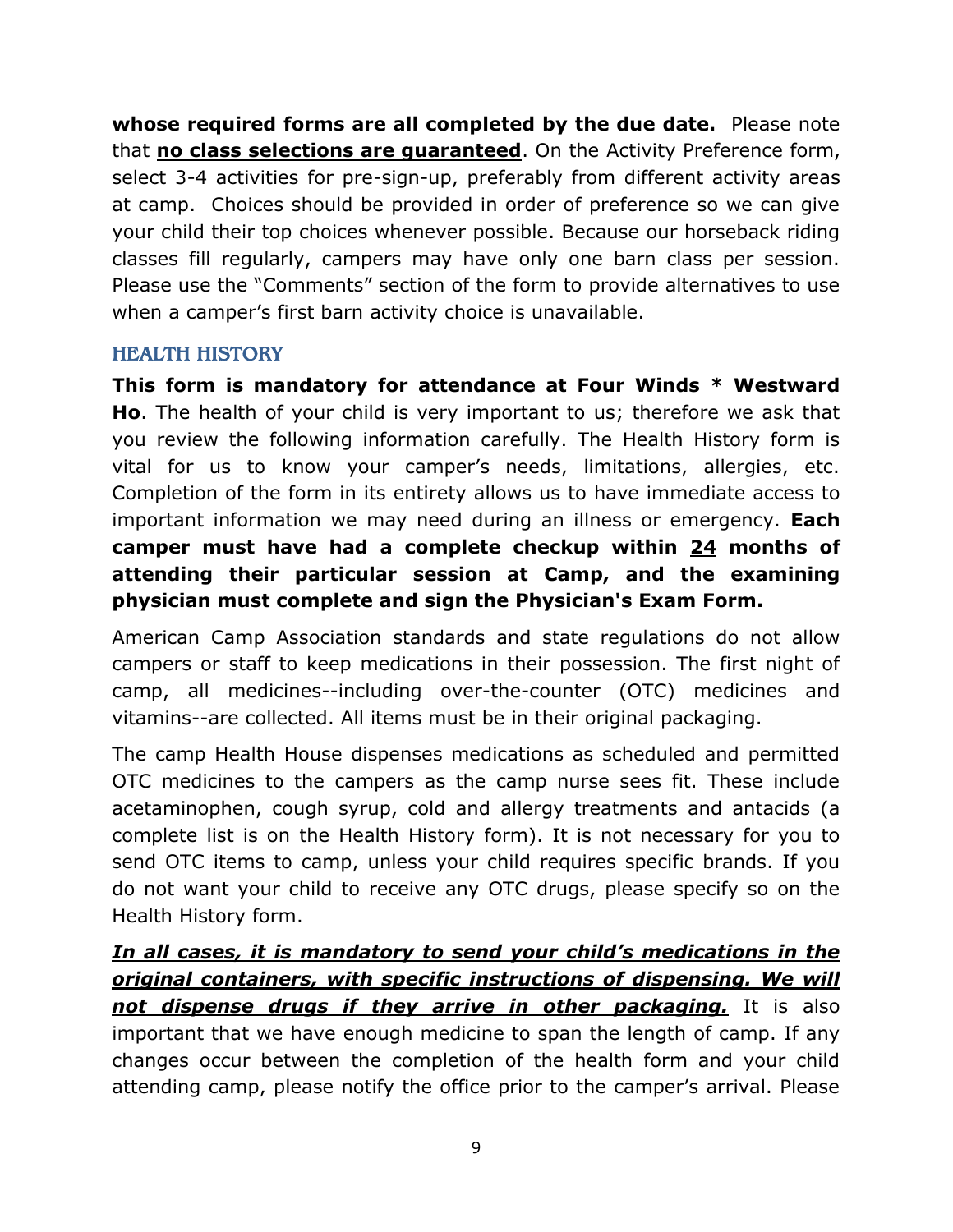**whose required forms are all completed by the due date.** Please note that **no class selections are guaranteed**. On the Activity Preference form, select 3-4 activities for pre-sign-up, preferably from different activity areas at camp. Choices should be provided in order of preference so we can give your child their top choices whenever possible. Because our horseback riding classes fill regularly, campers may have only one barn class per session. Please use the "Comments" section of the form to provide alternatives to use when a camper's first barn activity choice is unavailable.

#### <span id="page-8-0"></span>HEALTH HISTORY

**This form is mandatory for attendance at Four Winds \* Westward Ho**. The health of your child is very important to us; therefore we ask that you review the following information carefully. The Health History form is vital for us to know your camper's needs, limitations, allergies, etc. Completion of the form in its entirety allows us to have immediate access to important information we may need during an illness or emergency. **Each camper must have had a complete checkup within 24 months of attending their particular session at Camp, and the examining physician must complete and sign the Physician's Exam Form.**

American Camp Association standards and state regulations do not allow campers or staff to keep medications in their possession. The first night of camp, all medicines--including over-the-counter (OTC) medicines and vitamins--are collected. All items must be in their original packaging.

The camp Health House dispenses medications as scheduled and permitted OTC medicines to the campers as the camp nurse sees fit. These include acetaminophen, cough syrup, cold and allergy treatments and antacids (a complete list is on the Health History form). It is not necessary for you to send OTC items to camp, unless your child requires specific brands. If you do not want your child to receive any OTC drugs, please specify so on the Health History form.

*In all cases, it is mandatory to send your child's medications in the original containers, with specific instructions of dispensing. We will not dispense drugs if they arrive in other packaging.* It is also important that we have enough medicine to span the length of camp. If any changes occur between the completion of the health form and your child attending camp, please notify the office prior to the camper's arrival. Please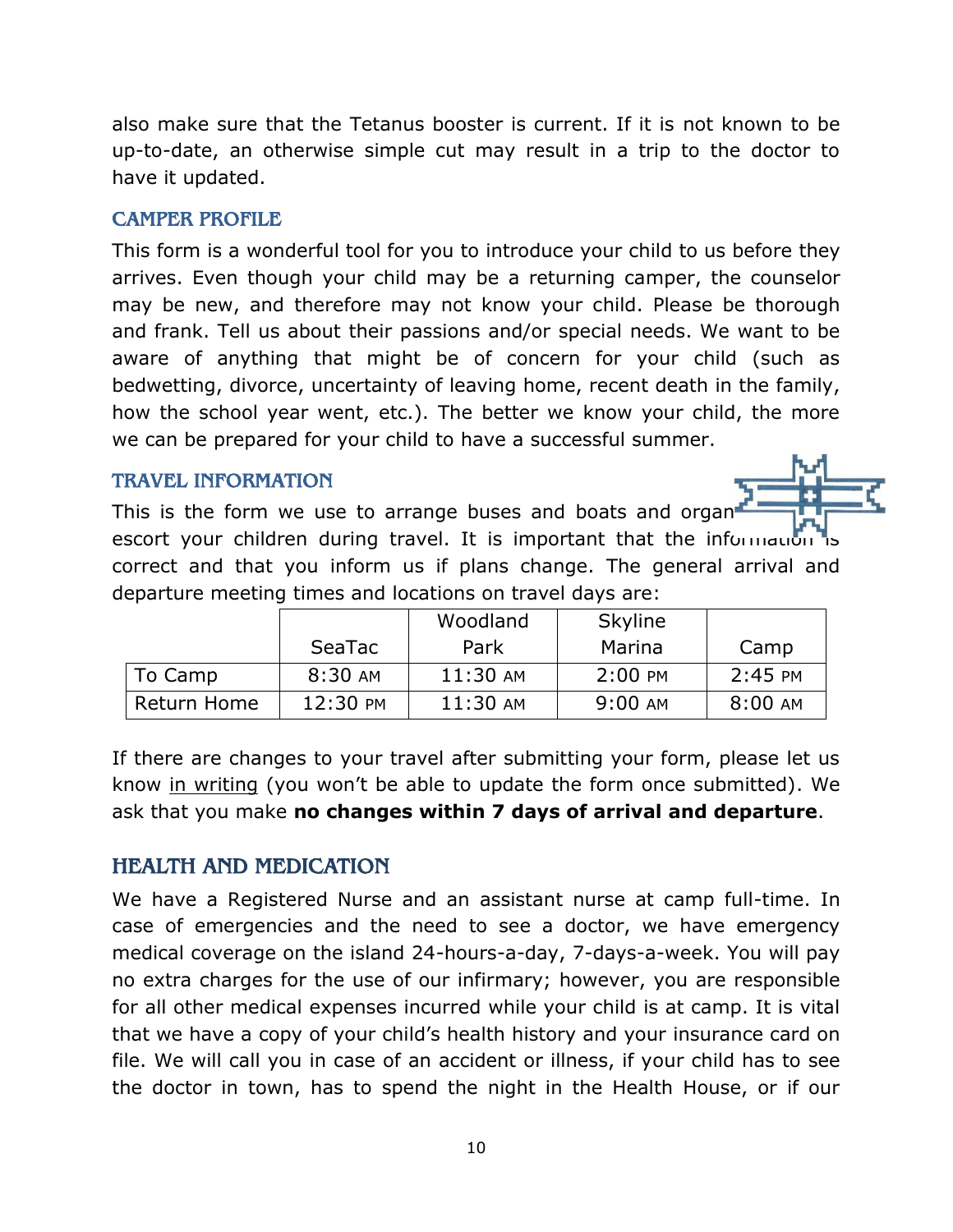also make sure that the Tetanus booster is current. If it is not known to be up-to-date, an otherwise simple cut may result in a trip to the doctor to have it updated.

#### <span id="page-9-0"></span>CAMPER PROFILE

This form is a wonderful tool for you to introduce your child to us before they arrives. Even though your child may be a returning camper, the counselor may be new, and therefore may not know your child. Please be thorough and frank. Tell us about their passions and/or special needs. We want to be aware of anything that might be of concern for your child (such as bedwetting, divorce, uncertainty of leaving home, recent death in the family, how the school year went, etc.). The better we know your child, the more we can be prepared for your child to have a successful summer.

#### <span id="page-9-1"></span>TRAVEL INFORMATION

This is the form we use to arrange buses and boats and organ escort your children during travel. It is important that the information is correct and that you inform us if plans change. The general arrival and departure meeting times and locations on travel days are:

|             |          | Woodland | Skyline   |           |
|-------------|----------|----------|-----------|-----------|
|             | SeaTac   | Park     | Marina    | Camp      |
| To Camp     | 8:30 AM  | 11:30 AM | $2:00$ PM | $2:45$ PM |
| Return Home | 12:30 PM | 11:30 AM | 9:00 AM   | 8:00 AM   |

If there are changes to your travel after submitting your form, please let us know in writing (you won't be able to update the form once submitted). We ask that you make **no changes within 7 days of arrival and departure**.

## <span id="page-9-2"></span>HEALTH AND MEDICATION

We have a Registered Nurse and an assistant nurse at camp full-time. In case of emergencies and the need to see a doctor, we have emergency medical coverage on the island 24-hours-a-day, 7-days-a-week. You will pay no extra charges for the use of our infirmary; however, you are responsible for all other medical expenses incurred while your child is at camp. It is vital that we have a copy of your child's health history and your insurance card on file. We will call you in case of an accident or illness, if your child has to see the doctor in town, has to spend the night in the Health House, or if our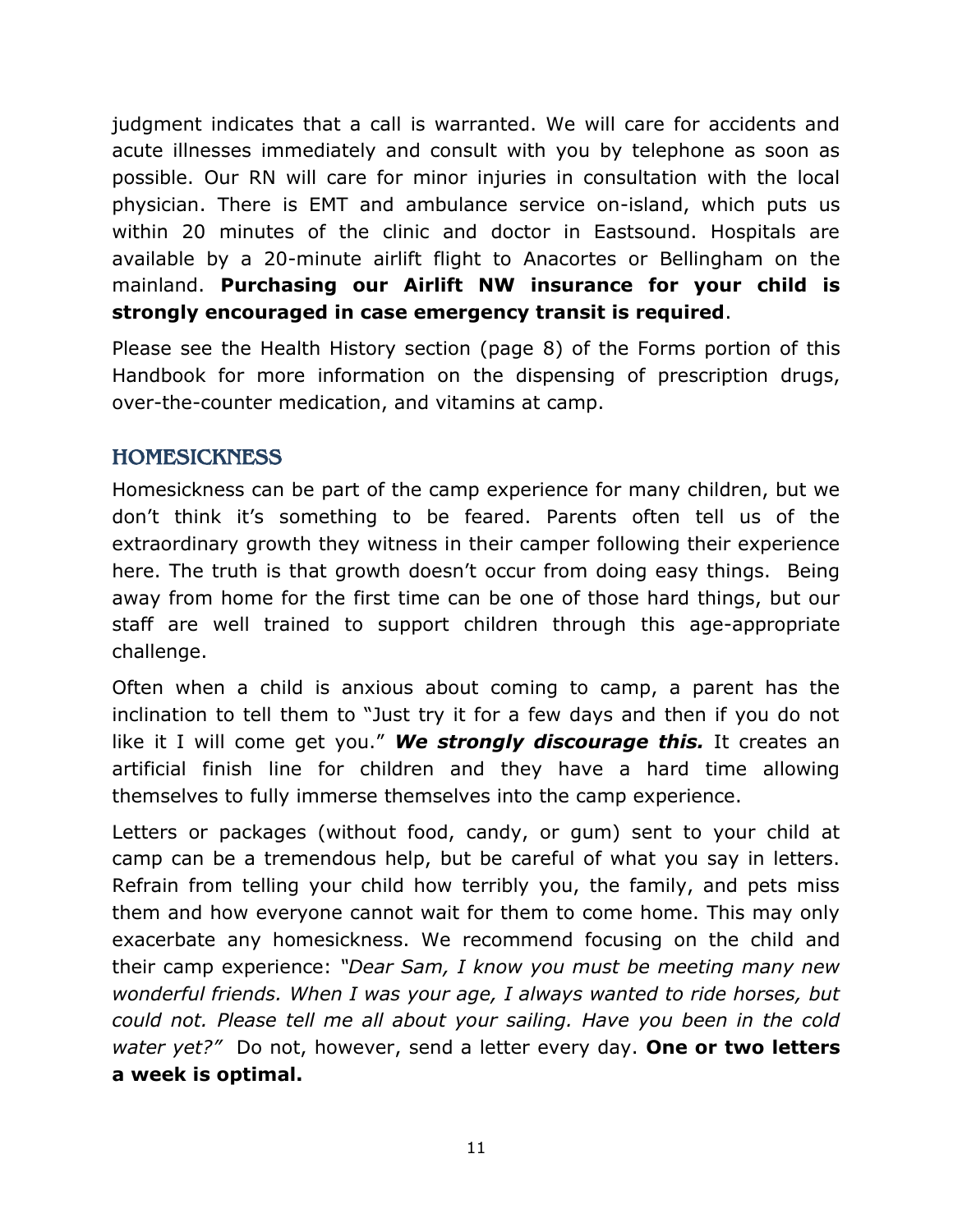judgment indicates that a call is warranted. We will care for accidents and acute illnesses immediately and consult with you by telephone as soon as possible. Our RN will care for minor injuries in consultation with the local physician. There is EMT and ambulance service on-island, which puts us within 20 minutes of the clinic and doctor in Eastsound. Hospitals are available by a 20-minute airlift flight to Anacortes or Bellingham on the mainland. **Purchasing our Airlift NW insurance for your child is strongly encouraged in case emergency transit is required**.

Please see the Health History section (page 8) of the Forms portion of this Handbook for more information on the dispensing of prescription drugs, over-the-counter medication, and vitamins at camp.

# <span id="page-10-0"></span>**HOMESICKNESS**

Homesickness can be part of the camp experience for many children, but we don't think it's something to be feared. Parents often tell us of the extraordinary growth they witness in their camper following their experience here. The truth is that growth doesn't occur from doing easy things. Being away from home for the first time can be one of those hard things, but our staff are well trained to support children through this age-appropriate challenge.

Often when a child is anxious about coming to camp, a parent has the inclination to tell them to "Just try it for a few days and then if you do not like it I will come get you." *We strongly discourage this.* It creates an artificial finish line for children and they have a hard time allowing themselves to fully immerse themselves into the camp experience.

Letters or packages (without food, candy, or gum) sent to your child at camp can be a tremendous help, but be careful of what you say in letters. Refrain from telling your child how terribly you, the family, and pets miss them and how everyone cannot wait for them to come home. This may only exacerbate any homesickness. We recommend focusing on the child and their camp experience: *"Dear Sam, I know you must be meeting many new wonderful friends. When I was your age, I always wanted to ride horses, but could not. Please tell me all about your sailing. Have you been in the cold water yet?"* Do not, however, send a letter every day. **One or two letters a week is optimal.**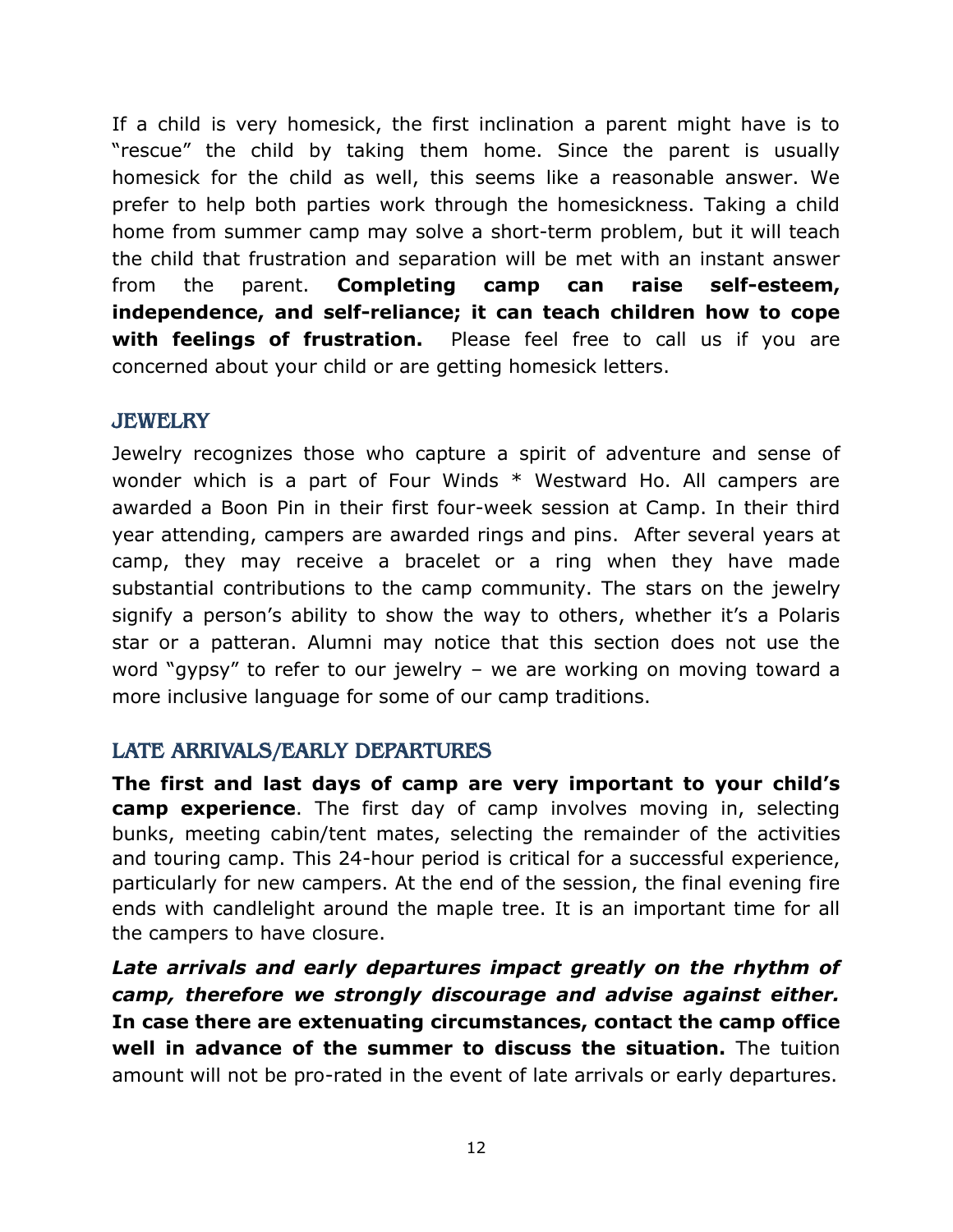If a child is very homesick, the first inclination a parent might have is to "rescue" the child by taking them home. Since the parent is usually homesick for the child as well, this seems like a reasonable answer. We prefer to help both parties work through the homesickness. Taking a child home from summer camp may solve a short-term problem, but it will teach the child that frustration and separation will be met with an instant answer from the parent. **Completing camp can raise self-esteem, independence, and self-reliance; it can teach children how to cope with feelings of frustration.** Please feel free to call us if you are concerned about your child or are getting homesick letters.

#### <span id="page-11-0"></span>**JEWELRY**

Jewelry recognizes those who capture a spirit of adventure and sense of wonder which is a part of Four Winds \* Westward Ho. All campers are awarded a Boon Pin in their first four-week session at Camp. In their third year attending, campers are awarded rings and pins. After several years at camp, they may receive a bracelet or a ring when they have made substantial contributions to the camp community. The stars on the jewelry signify a person's ability to show the way to others, whether it's a Polaris star or a patteran. Alumni may notice that this section does not use the word "gypsy" to refer to our jewelry – we are working on moving toward a more inclusive language for some of our camp traditions.

#### <span id="page-11-1"></span>LATE ARRIVALS/EARLY DEPARTURES

**The first and last days of camp are very important to your child's camp experience**. The first day of camp involves moving in, selecting bunks, meeting cabin/tent mates, selecting the remainder of the activities and touring camp. This 24-hour period is critical for a successful experience, particularly for new campers. At the end of the session, the final evening fire ends with candlelight around the maple tree. It is an important time for all the campers to have closure.

*Late arrivals and early departures impact greatly on the rhythm of camp, therefore we strongly discourage and advise against either.* **In case there are extenuating circumstances, contact the camp office well in advance of the summer to discuss the situation.** The tuition amount will not be pro-rated in the event of late arrivals or early departures.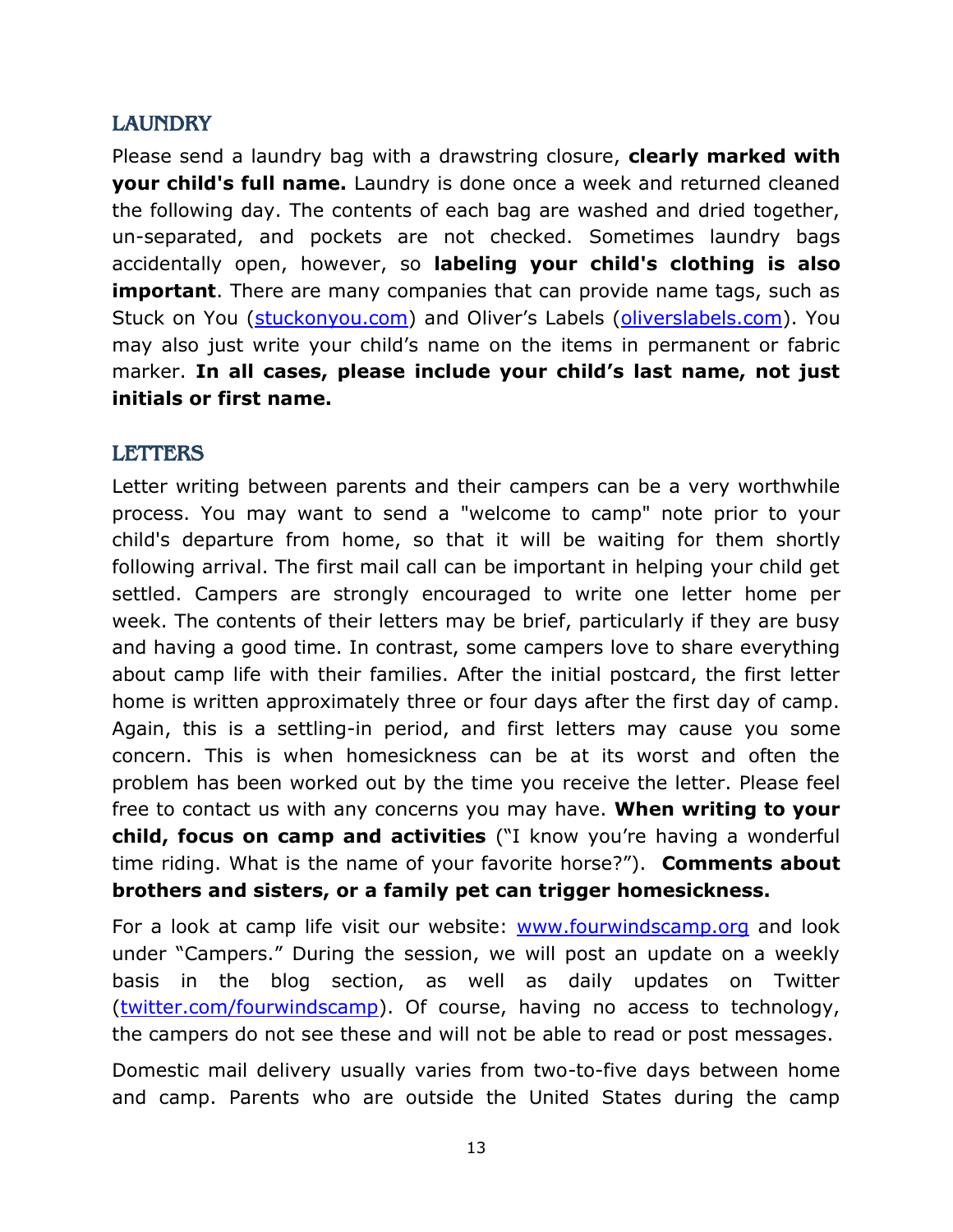## <span id="page-12-0"></span>**LAUNDRY**

Please send a laundry bag with a drawstring closure, **clearly marked with your child's full name.** Laundry is done once a week and returned cleaned the following day. The contents of each bag are washed and dried together, un-separated, and pockets are not checked. Sometimes laundry bags accidentally open, however, so **labeling your child's clothing is also important**. There are many companies that can provide name tags, such as Stuck on You [\(stuckonyou.com](http://stuckonyou.com/)) and Oliver's Labels ([oliverslabels.com\)](http://oliverslabels.com/). You may also just write your child's name on the items in permanent or fabric marker. **In all cases, please include your child's last name, not just initials or first name.** 

#### <span id="page-12-1"></span>LETTERS

Letter writing between parents and their campers can be a very worthwhile process. You may want to send a "welcome to camp" note prior to your child's departure from home, so that it will be waiting for them shortly following arrival. The first mail call can be important in helping your child get settled. Campers are strongly encouraged to write one letter home per week. The contents of their letters may be brief, particularly if they are busy and having a good time. In contrast, some campers love to share everything about camp life with their families. After the initial postcard, the first letter home is written approximately three or four days after the first day of camp. Again, this is a settling-in period, and first letters may cause you some concern. This is when homesickness can be at its worst and often the problem has been worked out by the time you receive the letter. Please feel free to contact us with any concerns you may have. **When writing to your child, focus on camp and activities** ("I know you're having a wonderful time riding. What is the name of your favorite horse?"). **Comments about brothers and sisters, or a family pet can trigger homesickness.**

For a look at camp life visit our website: [www.fourwindscamp.org](http://www.fourwindscamp.org/) and look under "Campers." During the session, we will post an update on a weekly basis in the blog section, as well as daily updates on Twitter [\(twitter.com/fourwindscamp\)](http://www.twitter.com/fourwindscamp). Of course, having no access to technology, the campers do not see these and will not be able to read or post messages.

Domestic mail delivery usually varies from two-to-five days between home and camp. Parents who are outside the United States during the camp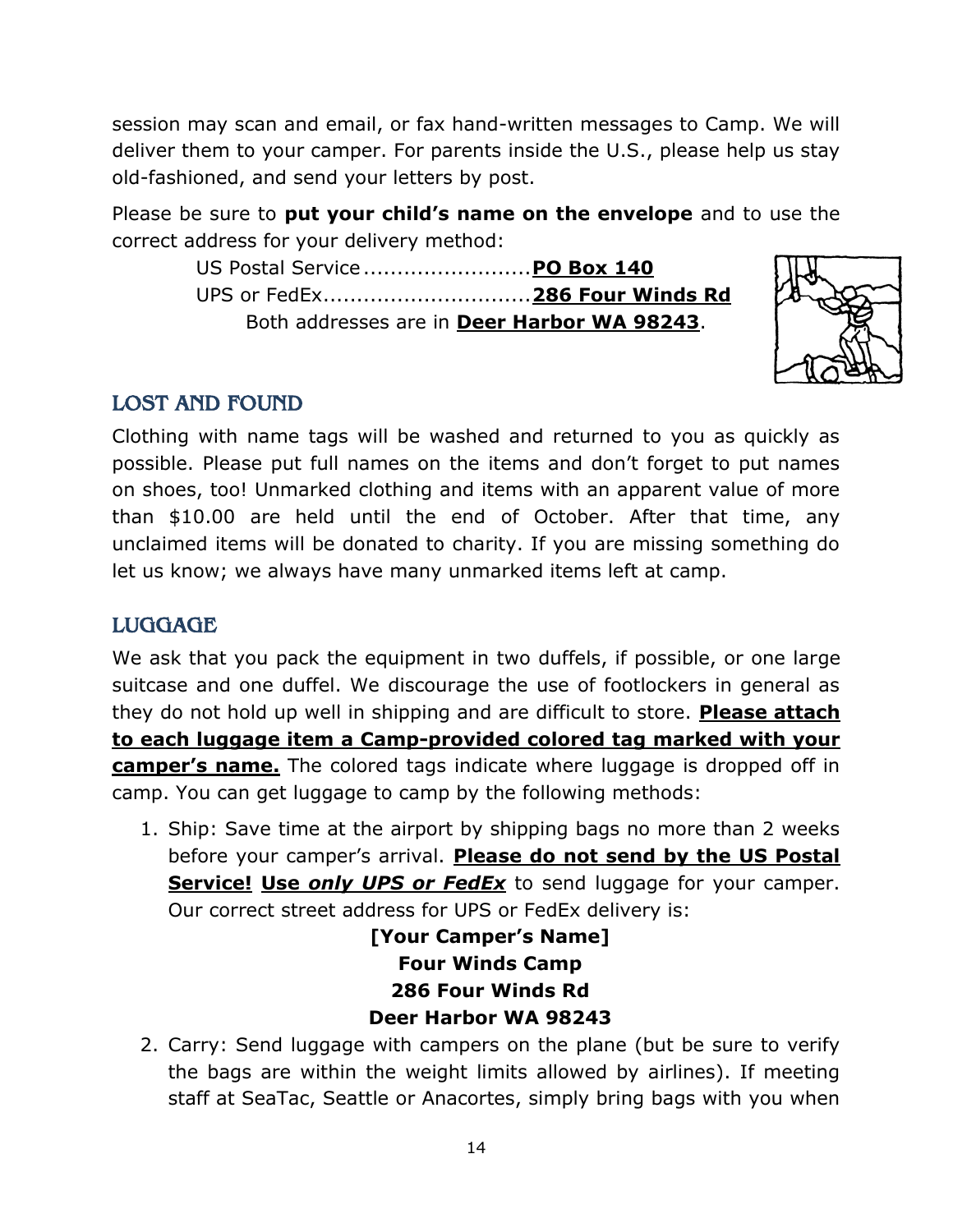session may scan and email, or fax hand-written messages to Camp. We will deliver them to your camper. For parents inside the U.S., please help us stay old-fashioned, and send your letters by post.

Please be sure to **put your child's name on the envelope** and to use the correct address for your delivery method:

> US Postal Service.........................**PO Box 140** UPS or FedEx...............................**286 Four Winds Rd** Both addresses are in **Deer Harbor WA 98243**.



# <span id="page-13-0"></span>LOST AND FOUND

Clothing with name tags will be washed and returned to you as quickly as possible. Please put full names on the items and don't forget to put names on shoes, too! Unmarked clothing and items with an apparent value of more than \$10.00 are held until the end of October. After that time, any unclaimed items will be donated to charity. If you are missing something do let us know; we always have many unmarked items left at camp.

# <span id="page-13-1"></span>LUGGAGE

We ask that you pack the equipment in two duffels, if possible, or one large suitcase and one duffel. We discourage the use of footlockers in general as they do not hold up well in shipping and are difficult to store. **Please attach to each luggage item a Camp-provided colored tag marked with your camper's name.** The colored tags indicate where luggage is dropped off in camp. You can get luggage to camp by the following methods:

1. Ship: Save time at the airport by shipping bags no more than 2 weeks before your camper's arrival. **Please do not send by the US Postal Service! Use** *only UPS or FedEx* to send luggage for your camper. Our correct street address for UPS or FedEx delivery is:

> **[Your Camper's Name] Four Winds Camp 286 Four Winds Rd Deer Harbor WA 98243**

2. Carry: Send luggage with campers on the plane (but be sure to verify the bags are within the weight limits allowed by airlines). If meeting staff at SeaTac, Seattle or Anacortes, simply bring bags with you when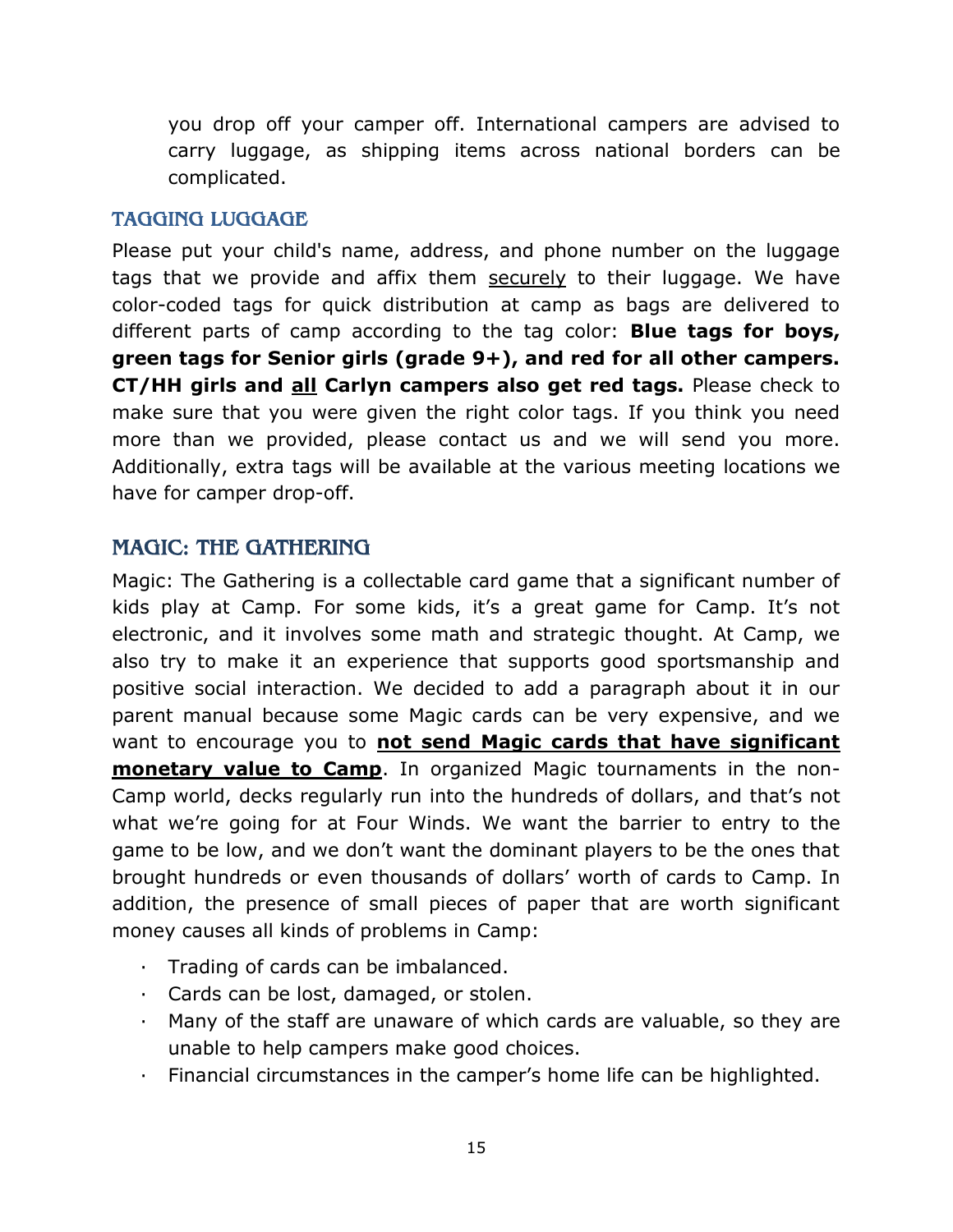you drop off your camper off. International campers are advised to carry luggage, as shipping items across national borders can be complicated.

#### <span id="page-14-0"></span>TAGGING LUGGAGE

Please put your child's name, address, and phone number on the luggage tags that we provide and affix them securely to their luggage. We have color-coded tags for quick distribution at camp as bags are delivered to different parts of camp according to the tag color: **Blue tags for boys, green tags for Senior girls (grade 9+), and red for all other campers. CT/HH girls and all Carlyn campers also get red tags.** Please check to make sure that you were given the right color tags. If you think you need more than we provided, please contact us and we will send you more. Additionally, extra tags will be available at the various meeting locations we have for camper drop-off.

## <span id="page-14-1"></span>MAGIC: THE GATHERING

Magic: The Gathering is a collectable card game that a significant number of kids play at Camp. For some kids, it's a great game for Camp. It's not electronic, and it involves some math and strategic thought. At Camp, we also try to make it an experience that supports good sportsmanship and positive social interaction. We decided to add a paragraph about it in our parent manual because some Magic cards can be very expensive, and we want to encourage you to **not send Magic cards that have significant monetary value to Camp**. In organized Magic tournaments in the non-Camp world, decks regularly run into the hundreds of dollars, and that's not what we're going for at Four Winds. We want the barrier to entry to the game to be low, and we don't want the dominant players to be the ones that brought hundreds or even thousands of dollars' worth of cards to Camp. In addition, the presence of small pieces of paper that are worth significant money causes all kinds of problems in Camp:

- · Trading of cards can be imbalanced.
- · Cards can be lost, damaged, or stolen.
- · Many of the staff are unaware of which cards are valuable, so they are unable to help campers make good choices.
- · Financial circumstances in the camper's home life can be highlighted.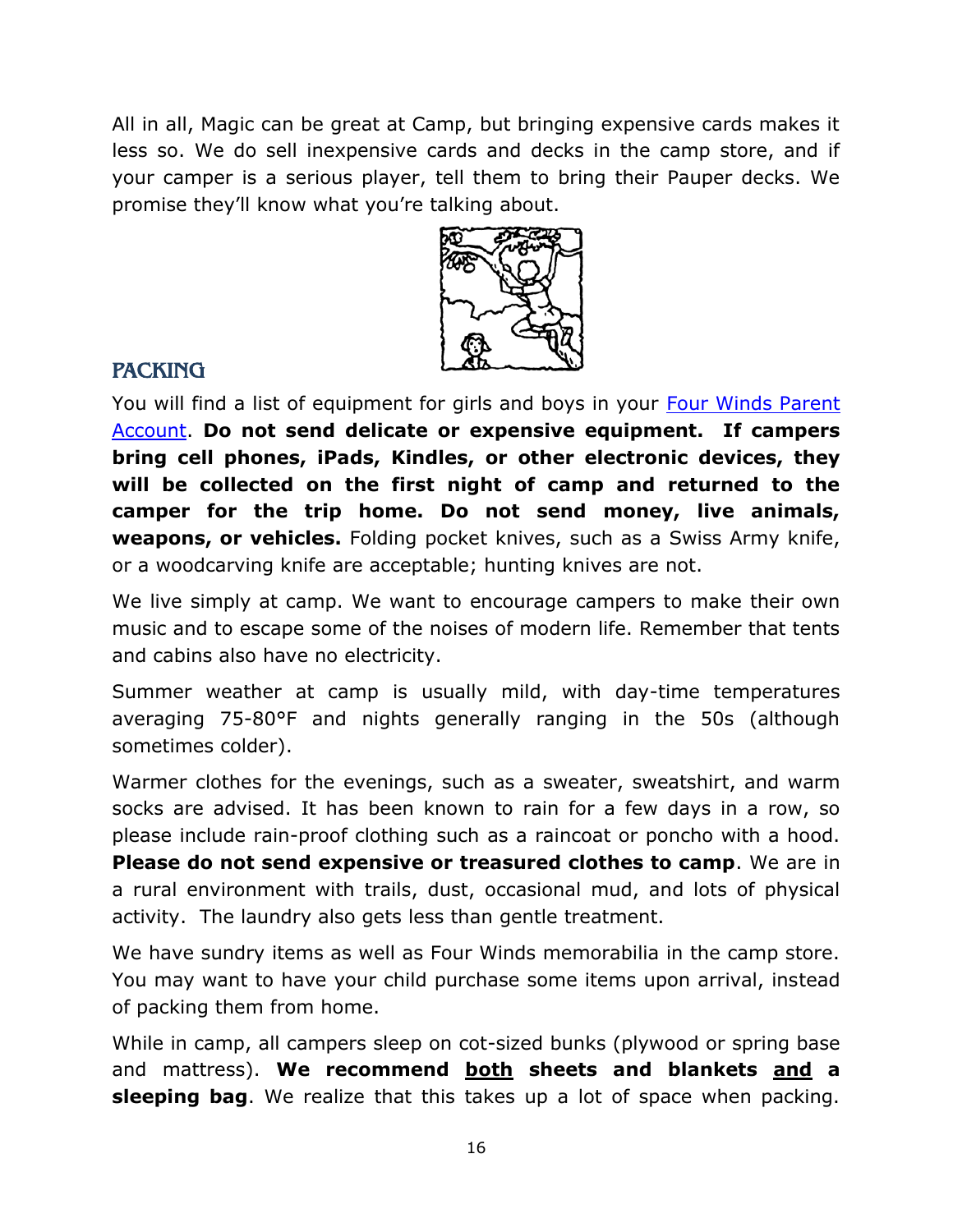All in all, Magic can be great at Camp, but bringing expensive cards makes it less so. We do sell inexpensive cards and decks in the camp store, and if your camper is a serious player, tell them to bring their Pauper decks. We promise they'll know what you're talking about.



## <span id="page-15-0"></span>**PACKING**

You will find a list of equipment for girls and boys in your [Four Winds Parent](http://fourwindscamp.org/login)  [Account.](http://fourwindscamp.org/login) **Do not send delicate or expensive equipment. If campers bring cell phones, iPads, Kindles, or other electronic devices, they will be collected on the first night of camp and returned to the camper for the trip home. Do not send money, live animals, weapons, or vehicles.** Folding pocket knives, such as a Swiss Army knife, or a woodcarving knife are acceptable; hunting knives are not.

We live simply at camp. We want to encourage campers to make their own music and to escape some of the noises of modern life. Remember that tents and cabins also have no electricity.

Summer weather at camp is usually mild, with day-time temperatures averaging 75-80°F and nights generally ranging in the 50s (although sometimes colder).

Warmer clothes for the evenings, such as a sweater, sweatshirt, and warm socks are advised. It has been known to rain for a few days in a row, so please include rain-proof clothing such as a raincoat or poncho with a hood. **Please do not send expensive or treasured clothes to camp**. We are in a rural environment with trails, dust, occasional mud, and lots of physical activity. The laundry also gets less than gentle treatment.

We have sundry items as well as Four Winds memorabilia in the camp store. You may want to have your child purchase some items upon arrival, instead of packing them from home.

While in camp, all campers sleep on cot-sized bunks (plywood or spring base and mattress). **We recommend both sheets and blankets and a sleeping bag**. We realize that this takes up a lot of space when packing.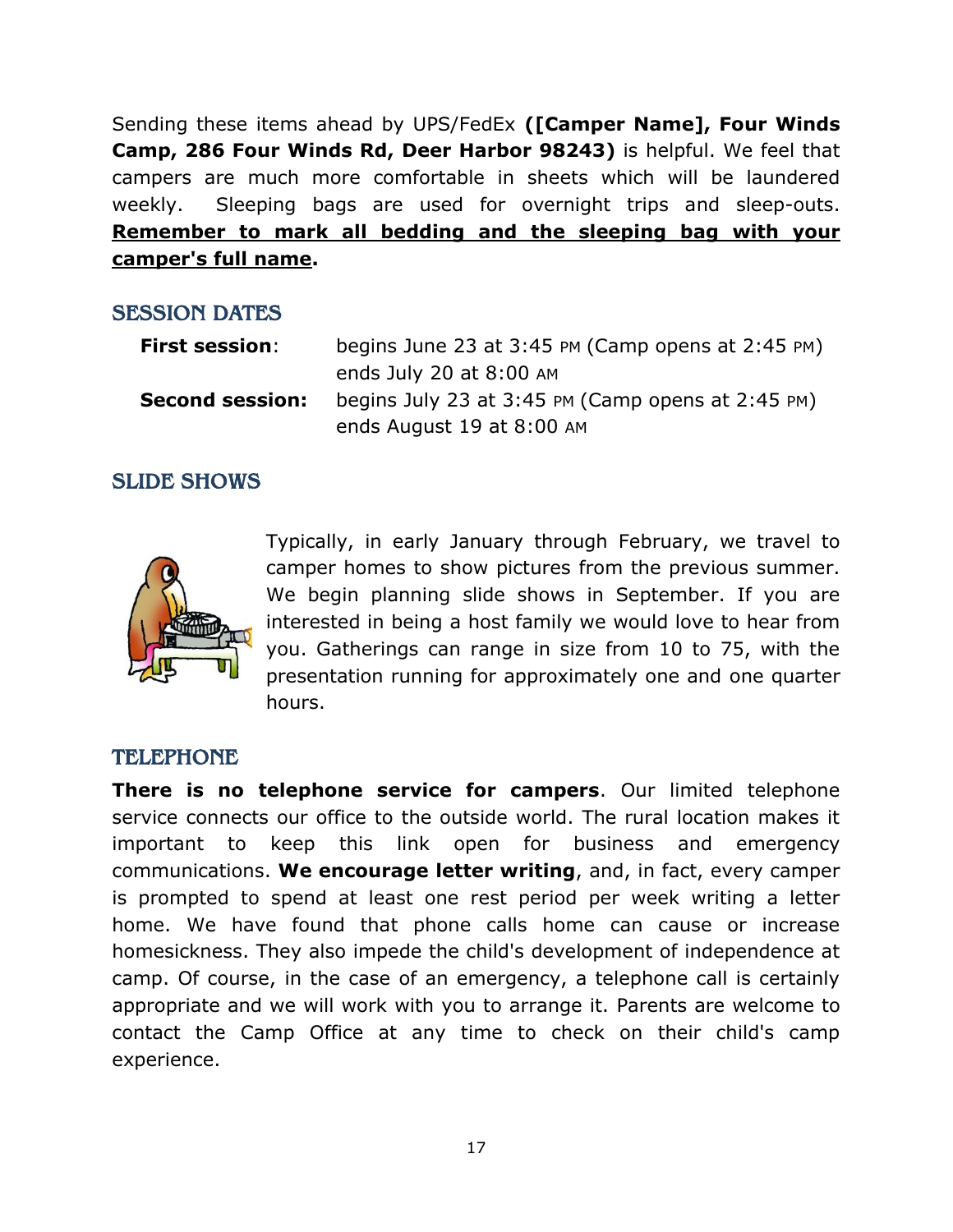Sending these items ahead by UPS/FedEx **([Camper Name], Four Winds Camp, 286 Four Winds Rd, Deer Harbor 98243)** is helpful. We feel that campers are much more comfortable in sheets which will be laundered weekly. Sleeping bags are used for overnight trips and sleep-outs. **Remember to mark all bedding and the sleeping bag with your camper's full name.**

#### <span id="page-16-0"></span>SESSION DATES

| <b>First session:</b>  | begins June 23 at $3:45$ PM (Camp opens at $2:45$ PM)                              |
|------------------------|------------------------------------------------------------------------------------|
|                        | ends July 20 at $8:00$ AM                                                          |
| <b>Second session:</b> | begins July 23 at $3:45$ PM (Camp opens at $2:45$ PM)<br>ends August 19 at 8:00 AM |

## <span id="page-16-1"></span>SLIDE SHOWS



Typically, in early January through February, we travel to camper homes to show pictures from the previous summer. We begin planning slide shows in September. If you are interested in being a host family we would love to hear from you. Gatherings can range in size from 10 to 75, with the presentation running for approximately one and one quarter hours.

#### <span id="page-16-2"></span>TELEPHONE

**There is no telephone service for campers**. Our limited telephone service connects our office to the outside world. The rural location makes it important to keep this link open for business and emergency communications. **We encourage letter writing**, and, in fact, every camper is prompted to spend at least one rest period per week writing a letter home. We have found that phone calls home can cause or increase homesickness. They also impede the child's development of independence at camp. Of course, in the case of an emergency, a telephone call is certainly appropriate and we will work with you to arrange it. Parents are welcome to contact the Camp Office at any time to check on their child's camp experience.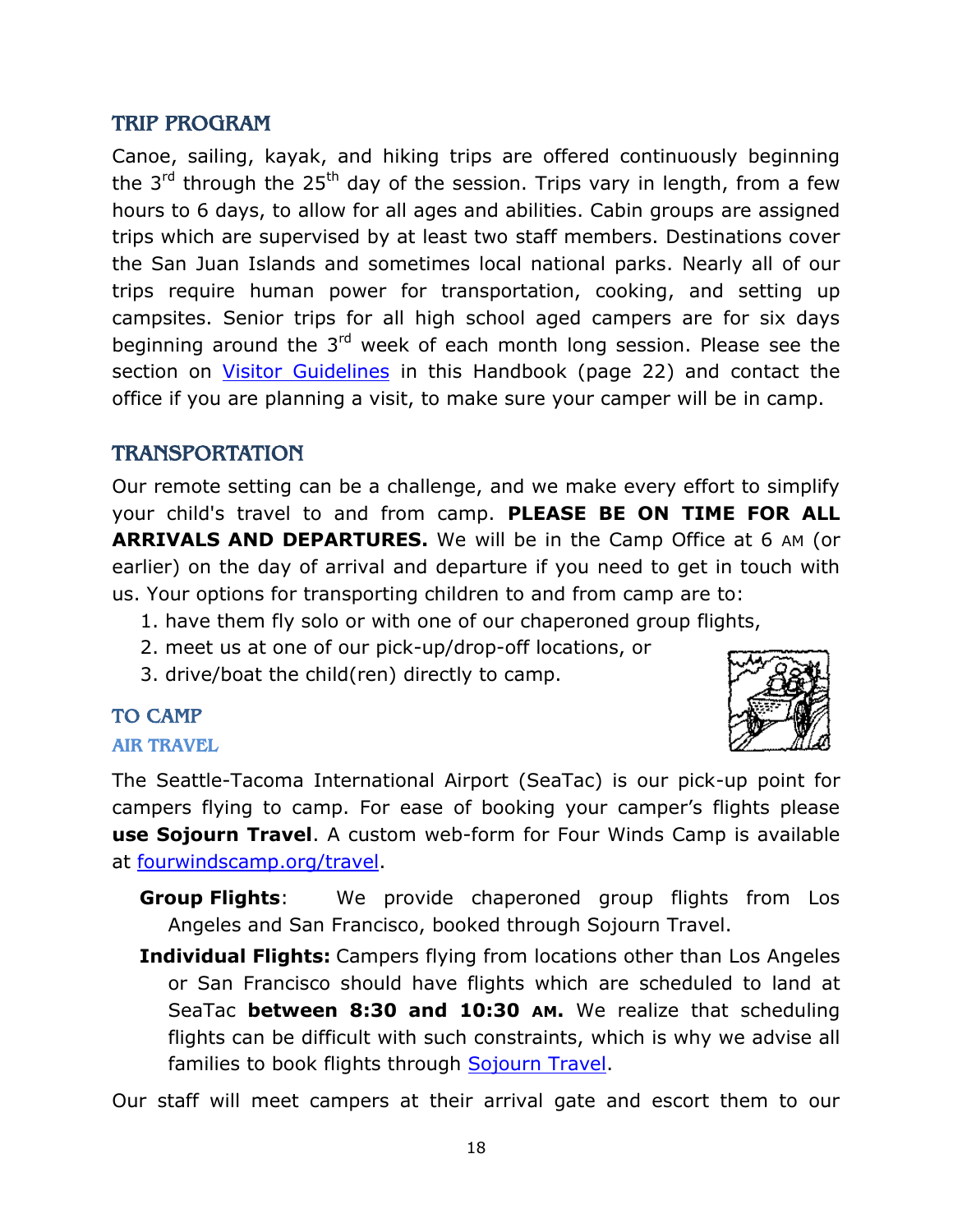#### <span id="page-17-0"></span>TRIP PROGRAM

Canoe, sailing, kayak, and hiking trips are offered continuously beginning the  $3<sup>rd</sup>$  through the 25<sup>th</sup> day of the session. Trips vary in length, from a few hours to 6 days, to allow for all ages and abilities. Cabin groups are assigned trips which are supervised by at least two staff members. Destinations cover the San Juan Islands and sometimes local national parks. Nearly all of our trips require human power for transportation, cooking, and setting up campsites. Senior trips for all high school aged campers are for six days beginning around the 3<sup>rd</sup> week of each month long session. Please see the section on [Visitor Guidelines](#page-21-1) in this Handbook (page 22) and contact the office if you are planning a visit, to make sure your camper will be in camp.

## <span id="page-17-1"></span>TRANSPORTATION

Our remote setting can be a challenge, and we make every effort to simplify your child's travel to and from camp. **PLEASE BE ON TIME FOR ALL ARRIVALS AND DEPARTURES.** We will be in the Camp Office at 6 AM (or earlier) on the day of arrival and departure if you need to get in touch with us. Your options for transporting children to and from camp are to:

- 1. have them fly solo or with one of our chaperoned group flights,
- 2. meet us at one of our pick-up/drop-off locations, or
- 3. drive/boat the child(ren) directly to camp.

# <span id="page-17-2"></span>TO CAMP

#### <span id="page-17-3"></span>AIR TRAVEL

The Seattle-Tacoma International Airport (SeaTac) is our pick-up point for campers flying to camp. For ease of booking your camper's flights please **use Sojourn Travel**. A custom web-form for Four Winds Camp is available at [fourwindscamp.org/travel.](https://fs20.formsite.com/sojourn/form10/index.html)

- **Group Flights**: We provide chaperoned group flights from Los Angeles and San Francisco, booked through Sojourn Travel.
- **Individual Flights:** Campers flying from locations other than Los Angeles or San Francisco should have flights which are scheduled to land at SeaTac **between 8:30 and 10:30 AM.** We realize that scheduling flights can be difficult with such constraints, which is why we advise all families to book flights through [Sojourn Travel.](file:///C:/Four%20Winds%20Data/Publications/Handbooks/2019_Handbooks/fourwindscamp.org/travel)

Our staff will meet campers at their arrival gate and escort them to our

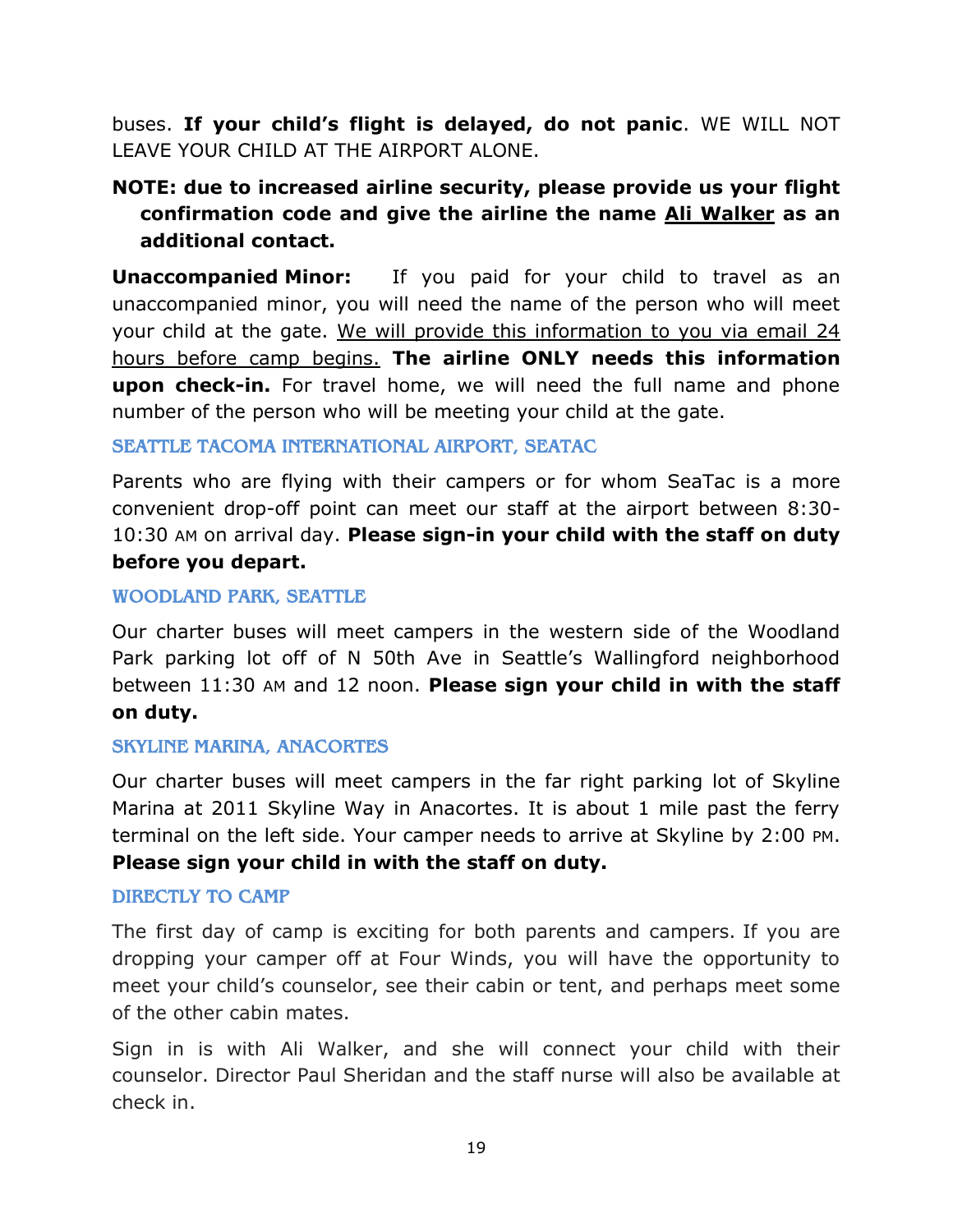buses. **If your child's flight is delayed, do not panic**. WE WILL NOT LEAVE YOUR CHILD AT THE AIRPORT ALONE.

## **NOTE: due to increased airline security, please provide us your flight confirmation code and give the airline the name Ali Walker as an additional contact.**

**Unaccompanied Minor:** If you paid for your child to travel as an unaccompanied minor, you will need the name of the person who will meet your child at the gate. We will provide this information to you via email 24 hours before camp begins. **The airline ONLY needs this information upon check-in.** For travel home, we will need the full name and phone number of the person who will be meeting your child at the gate.

#### <span id="page-18-0"></span>SEATTLE TACOMA INTERNATIONAL AIRPORT, SEATAC

Parents who are flying with their campers or for whom SeaTac is a more convenient drop-off point can meet our staff at the airport between 8:30- 10:30 AM on arrival day. **Please sign-in your child with the staff on duty before you depart.**

#### <span id="page-18-1"></span>WOODLAND PARK, SEATTLE

Our charter buses will meet campers in the western side of the Woodland Park parking lot off of N 50th Ave in Seattle's Wallingford neighborhood between 11:30 AM and 12 noon. **Please sign your child in with the staff on duty.** 

#### <span id="page-18-2"></span>SKYLINE MARINA, ANACORTES

Our charter buses will meet campers in the far right parking lot of Skyline Marina at 2011 Skyline Way in Anacortes. It is about 1 mile past the ferry terminal on the left side. Your camper needs to arrive at Skyline by 2:00 PM. **Please sign your child in with the staff on duty.** 

#### <span id="page-18-3"></span>DIRECTLY TO CAMP

The first day of camp is exciting for both parents and campers. If you are dropping your camper off at Four Winds, you will have the opportunity to meet your child's counselor, see their cabin or tent, and perhaps meet some of the other cabin mates.

Sign in is with Ali Walker, and she will connect your child with their counselor. Director Paul Sheridan and the staff nurse will also be available at check in.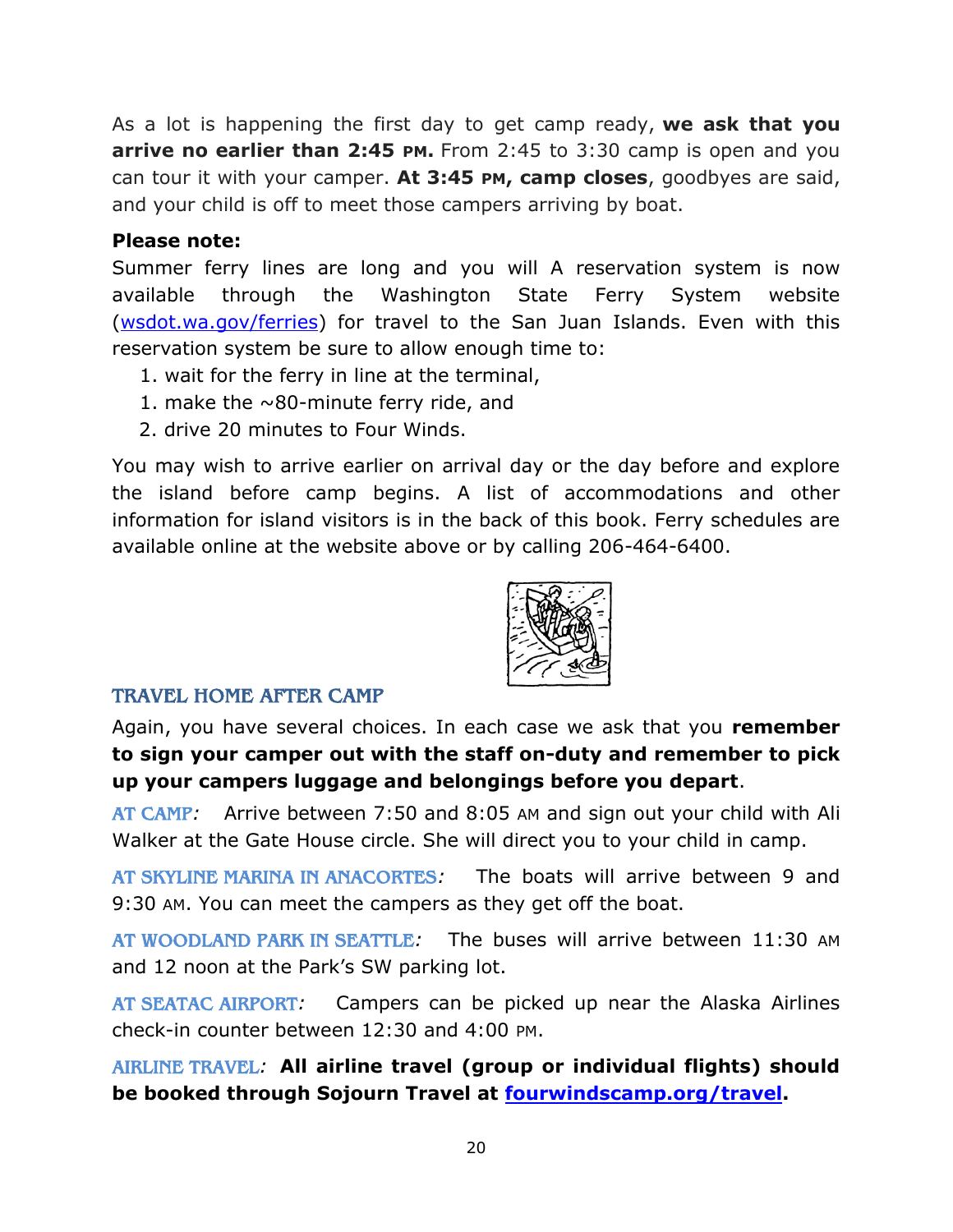As a lot is happening the first day to get camp ready, **we ask that you arrive no earlier than 2:45 PM.** From 2:45 to 3:30 camp is open and you can tour it with your camper. **At 3:45 PM, camp closes**, goodbyes are said, and your child is off to meet those campers arriving by boat.

#### **Please note:**

Summer ferry lines are long and you will A reservation system is now available through the Washington State Ferry System website [\(wsdot.wa.gov/ferries\)](http://wsdot.wa.gov/ferries) for travel to the San Juan Islands. Even with this reservation system be sure to allow enough time to:

- 1. wait for the ferry in line at the terminal,
- 1. make the  $\sim$ 80-minute ferry ride, and
- 2. drive 20 minutes to Four Winds.

You may wish to arrive earlier on arrival day or the day before and explore the island before camp begins. A list of accommodations and other information for island visitors is in the back of this book. Ferry schedules are available online at the website above or by calling 206-464-6400.



#### <span id="page-19-0"></span>TRAVEL HOME AFTER CAMP

Again, you have several choices. In each case we ask that you **remember to sign your camper out with the staff on-duty and remember to pick up your campers luggage and belongings before you depart**.

<span id="page-19-1"></span>AT CAMP*:* Arrive between 7:50 and 8:05 AM and sign out your child with Ali Walker at the Gate House circle. She will direct you to your child in camp.

<span id="page-19-2"></span>AT SKYLINE MARINA IN ANACORTES*:* The boats will arrive between 9 and 9:30 AM. You can meet the campers as they get off the boat.

<span id="page-19-3"></span>AT WOODLAND PARK IN SEATTLE*:* The buses will arrive between 11:30 AM and 12 noon at the Park's SW parking lot.

<span id="page-19-4"></span>AT SEATAC AIRPORT*:* Campers can be picked up near the Alaska Airlines check-in counter between 12:30 and 4:00 PM.

<span id="page-19-5"></span>AIRLINE TRAVEL*:* **All airline travel (group or individual flights) should be booked through Sojourn Travel at [fourwindscamp.org/travel.](https://fs20.formsite.com/sojourn/form10/index.html)**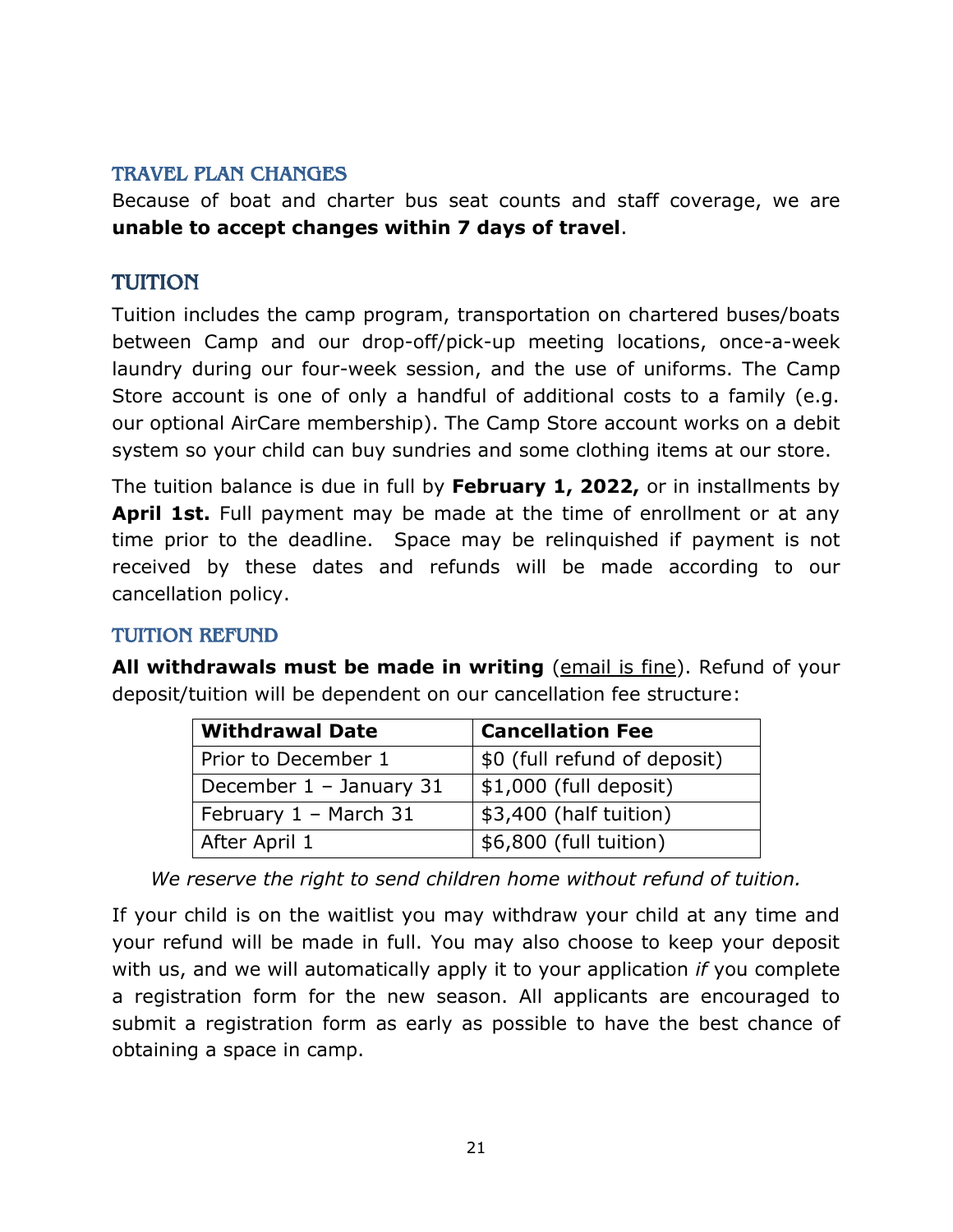#### <span id="page-20-0"></span>TRAVEL PLAN CHANGES

Because of boat and charter bus seat counts and staff coverage, we are **unable to accept changes within 7 days of travel**.

#### <span id="page-20-1"></span>TUITION

Tuition includes the camp program, transportation on chartered buses/boats between Camp and our drop-off/pick-up meeting locations, once-a-week laundry during our four-week session, and the use of uniforms. The Camp Store account is one of only a handful of additional costs to a family (e.g. our optional AirCare membership). The Camp Store account works on a debit system so your child can buy sundries and some clothing items at our store.

The tuition balance is due in full by **February 1, 2022,** or in installments by **April 1st.** Full payment may be made at the time of enrollment or at any time prior to the deadline. Space may be relinquished if payment is not received by these dates and refunds will be made according to our cancellation policy.

#### <span id="page-20-2"></span>TUITION REFUND

**All withdrawals must be made in writing** (email is fine). Refund of your deposit/tuition will be dependent on our cancellation fee structure:

| <b>Withdrawal Date</b>    | <b>Cancellation Fee</b>      |
|---------------------------|------------------------------|
| Prior to December 1       | \$0 (full refund of deposit) |
| December $1 -$ January 31 | $$1,000$ (full deposit)      |
| February 1 - March 31     | \$3,400 (half tuition)       |
| After April 1             | \$6,800 (full tuition)       |

*We reserve the right to send children home without refund of tuition.*

If your child is on the waitlist you may withdraw your child at any time and your refund will be made in full. You may also choose to keep your deposit with us, and we will automatically apply it to your application *if* you complete a registration form for the new season. All applicants are encouraged to submit a registration form as early as possible to have the best chance of obtaining a space in camp.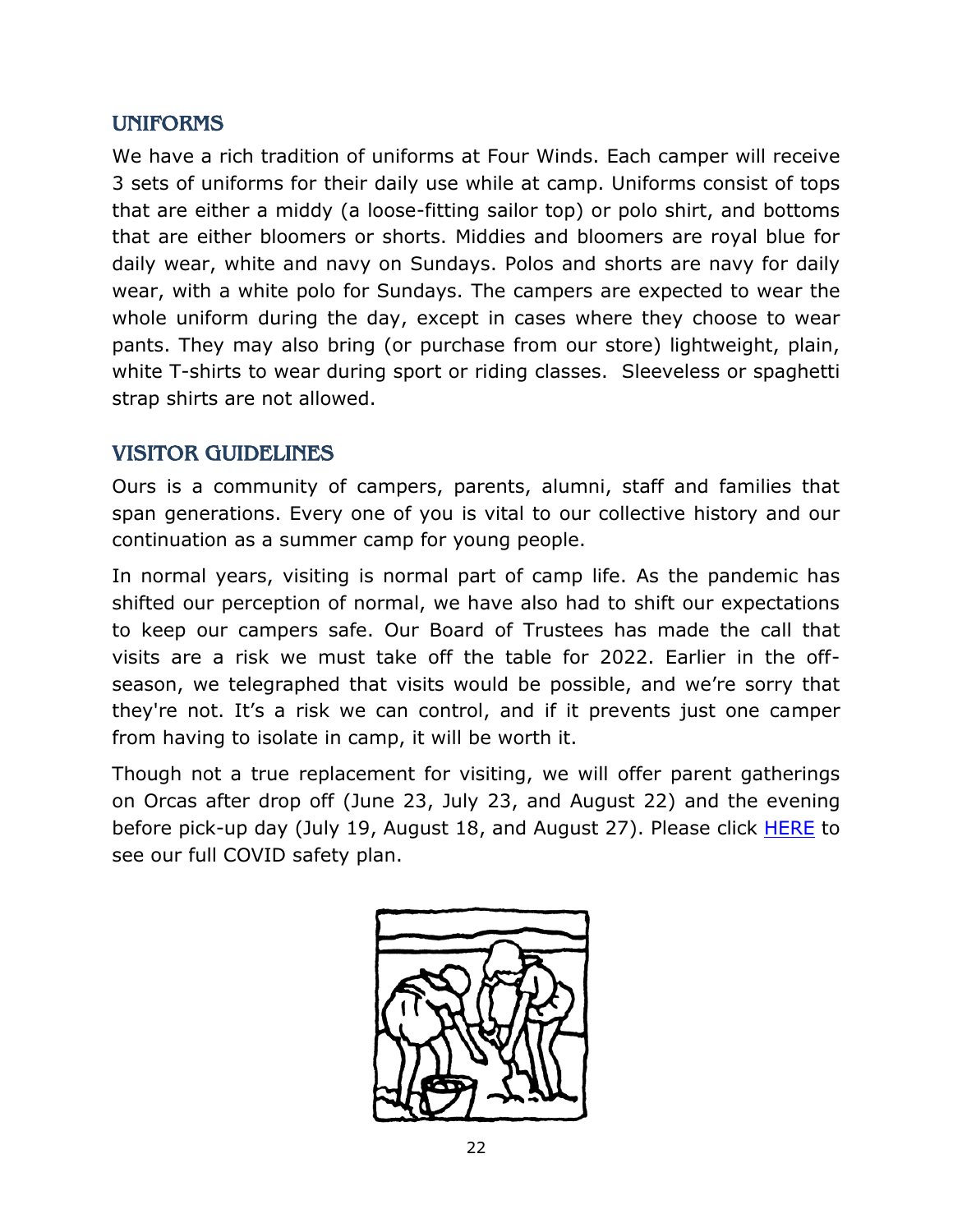#### <span id="page-21-0"></span>UNIFORMS

We have a rich tradition of uniforms at Four Winds. Each camper will receive 3 sets of uniforms for their daily use while at camp. Uniforms consist of tops that are either a middy (a loose-fitting sailor top) or polo shirt, and bottoms that are either bloomers or shorts. Middies and bloomers are royal blue for daily wear, white and navy on Sundays. Polos and shorts are navy for daily wear, with a white polo for Sundays. The campers are expected to wear the whole uniform during the day, except in cases where they choose to wear pants. They may also bring (or purchase from our store) lightweight, plain, white T-shirts to wear during sport or riding classes. Sleeveless or spaghetti strap shirts are not allowed.

#### <span id="page-21-1"></span>VISITOR GUIDELINES

Ours is a community of campers, parents, alumni, staff and families that span generations. Every one of you is vital to our collective history and our continuation as a summer camp for young people.

In normal years, visiting is normal part of camp life. As the pandemic has shifted our perception of normal, we have also had to shift our expectations to keep our campers safe. Our Board of Trustees has made the call that visits are a risk we must take off the table for 2022. Earlier in the offseason, we telegraphed that visits would be possible, and we're sorry that they're not. It's a risk we can control, and if it prevents just one camper from having to isolate in camp, it will be worth it.

Though not a true replacement for visiting, we will offer parent gatherings on Orcas after drop off (June 23, July 23, and August 22) and the evening before pick-up day (July 19, August 18, and August 27). Please click **HERE** to see our full COVID safety plan.